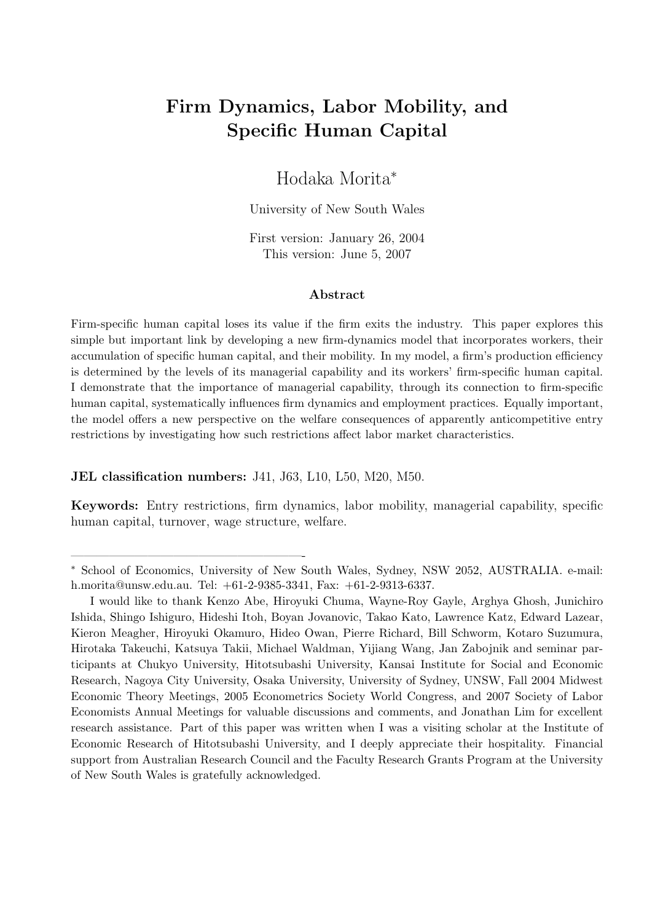# Firm Dynamics, Labor Mobility, and Specific Human Capital

# Hodaka Morita<sup>∗</sup>

University of New South Wales

First version: January 26, 2004 This version: June 5, 2007

#### Abstract

Firm-specific human capital loses its value if the firm exits the industry. This paper explores this simple but important link by developing a new firm-dynamics model that incorporates workers, their accumulation of specific human capital, and their mobility. In my model, a firm's production efficiency is determined by the levels of its managerial capability and its workers' firm-specific human capital. I demonstrate that the importance of managerial capability, through its connection to firm-specific human capital, systematically influences firm dynamics and employment practices. Equally important, the model offers a new perspective on the welfare consequences of apparently anticompetitive entry restrictions by investigating how such restrictions affect labor market characteristics.

### JEL classification numbers: J41, J63, L10, L50, M20, M50.

——————————————————-

Keywords: Entry restrictions, firm dynamics, labor mobility, managerial capability, specific human capital, turnover, wage structure, welfare.

<sup>∗</sup> School of Economics, University of New South Wales, Sydney, NSW 2052, AUSTRALIA. e-mail: h.morita@unsw.edu.au. Tel: +61-2-9385-3341, Fax: +61-2-9313-6337.

I would like to thank Kenzo Abe, Hiroyuki Chuma, Wayne-Roy Gayle, Arghya Ghosh, Junichiro Ishida, Shingo Ishiguro, Hideshi Itoh, Boyan Jovanovic, Takao Kato, Lawrence Katz, Edward Lazear, Kieron Meagher, Hiroyuki Okamuro, Hideo Owan, Pierre Richard, Bill Schworm, Kotaro Suzumura, Hirotaka Takeuchi, Katsuya Takii, Michael Waldman, Yijiang Wang, Jan Zabojnik and seminar participants at Chukyo University, Hitotsubashi University, Kansai Institute for Social and Economic Research, Nagoya City University, Osaka University, University of Sydney, UNSW, Fall 2004 Midwest Economic Theory Meetings, 2005 Econometrics Society World Congress, and 2007 Society of Labor Economists Annual Meetings for valuable discussions and comments, and Jonathan Lim for excellent research assistance. Part of this paper was written when I was a visiting scholar at the Institute of Economic Research of Hitotsubashi University, and I deeply appreciate their hospitality. Financial support from Australian Research Council and the Faculty Research Grants Program at the University of New South Wales is gratefully acknowledged.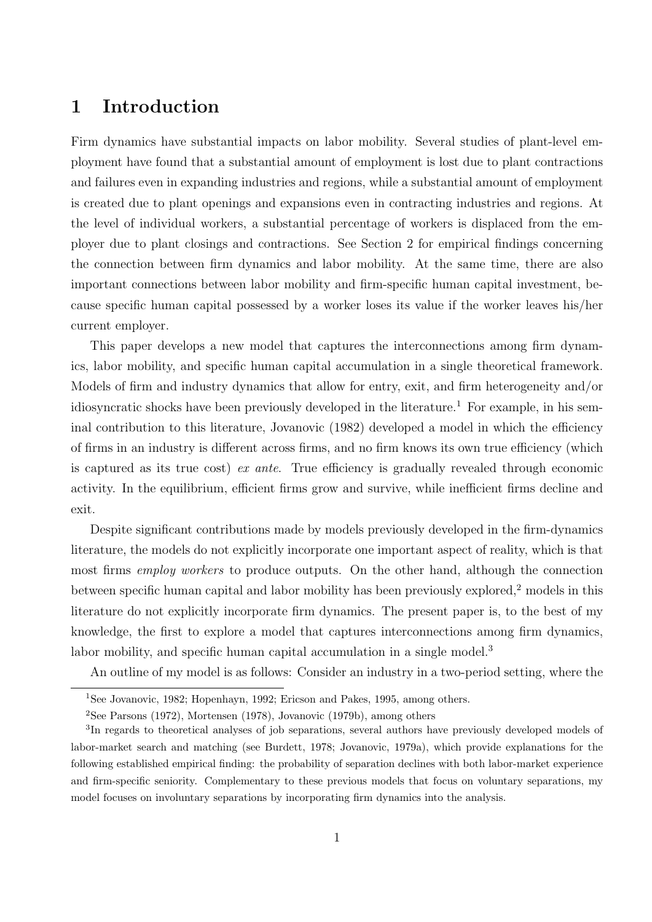# 1 Introduction

Firm dynamics have substantial impacts on labor mobility. Several studies of plant-level employment have found that a substantial amount of employment is lost due to plant contractions and failures even in expanding industries and regions, while a substantial amount of employment is created due to plant openings and expansions even in contracting industries and regions. At the level of individual workers, a substantial percentage of workers is displaced from the employer due to plant closings and contractions. See Section 2 for empirical findings concerning the connection between firm dynamics and labor mobility. At the same time, there are also important connections between labor mobility and firm-specific human capital investment, because specific human capital possessed by a worker loses its value if the worker leaves his/her current employer.

This paper develops a new model that captures the interconnections among firm dynamics, labor mobility, and specific human capital accumulation in a single theoretical framework. Models of firm and industry dynamics that allow for entry, exit, and firm heterogeneity and/or idiosyncratic shocks have been previously developed in the literature.<sup>1</sup> For example, in his seminal contribution to this literature, Jovanovic (1982) developed a model in which the efficiency of firms in an industry is different across firms, and no firm knows its own true efficiency (which is captured as its true cost) ex ante. True efficiency is gradually revealed through economic activity. In the equilibrium, efficient firms grow and survive, while inefficient firms decline and exit.

Despite significant contributions made by models previously developed in the firm-dynamics literature, the models do not explicitly incorporate one important aspect of reality, which is that most firms employ workers to produce outputs. On the other hand, although the connection between specific human capital and labor mobility has been previously explored,<sup>2</sup> models in this literature do not explicitly incorporate firm dynamics. The present paper is, to the best of my knowledge, the first to explore a model that captures interconnections among firm dynamics, labor mobility, and specific human capital accumulation in a single model.<sup>3</sup>

An outline of my model is as follows: Consider an industry in a two-period setting, where the

<sup>&</sup>lt;sup>1</sup>See Jovanovic, 1982; Hopenhayn, 1992; Ericson and Pakes, 1995, among others.

<sup>2</sup>See Parsons (1972), Mortensen (1978), Jovanovic (1979b), among others

<sup>&</sup>lt;sup>3</sup>In regards to theoretical analyses of job separations, several authors have previously developed models of labor-market search and matching (see Burdett, 1978; Jovanovic, 1979a), which provide explanations for the following established empirical finding: the probability of separation declines with both labor-market experience and firm-specific seniority. Complementary to these previous models that focus on voluntary separations, my model focuses on involuntary separations by incorporating firm dynamics into the analysis.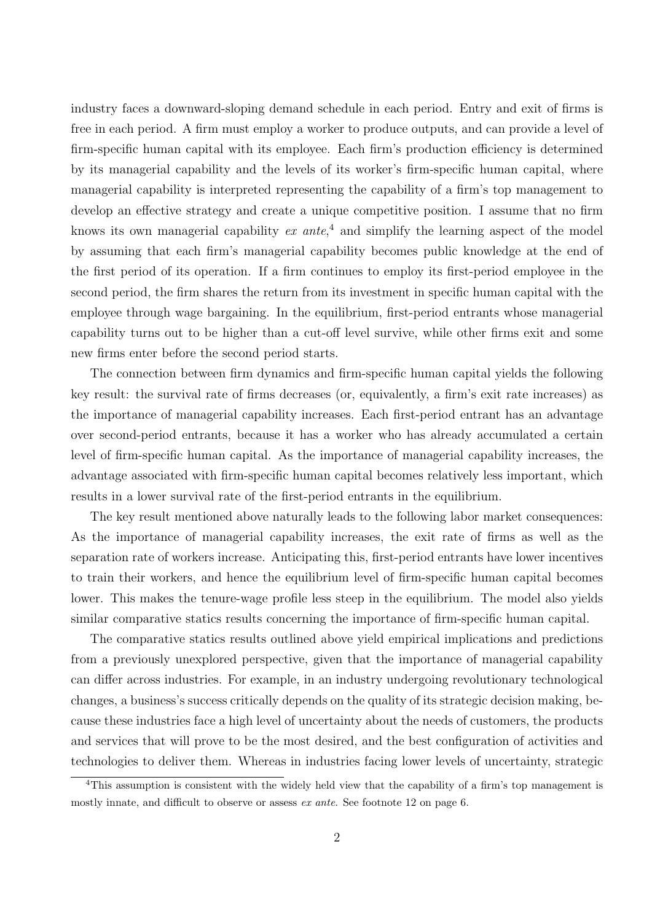industry faces a downward-sloping demand schedule in each period. Entry and exit of firms is free in each period. A firm must employ a worker to produce outputs, and can provide a level of firm-specific human capital with its employee. Each firm's production efficiency is determined by its managerial capability and the levels of its worker's firm-specific human capital, where managerial capability is interpreted representing the capability of a firm's top management to develop an effective strategy and create a unique competitive position. I assume that no firm knows its own managerial capability  $ex$  ante,<sup>4</sup> and simplify the learning aspect of the model by assuming that each firm's managerial capability becomes public knowledge at the end of the first period of its operation. If a firm continues to employ its first-period employee in the second period, the firm shares the return from its investment in specific human capital with the employee through wage bargaining. In the equilibrium, first-period entrants whose managerial capability turns out to be higher than a cut-off level survive, while other firms exit and some new firms enter before the second period starts.

The connection between firm dynamics and firm-specific human capital yields the following key result: the survival rate of firms decreases (or, equivalently, a firm's exit rate increases) as the importance of managerial capability increases. Each first-period entrant has an advantage over second-period entrants, because it has a worker who has already accumulated a certain level of firm-specific human capital. As the importance of managerial capability increases, the advantage associated with firm-specific human capital becomes relatively less important, which results in a lower survival rate of the first-period entrants in the equilibrium.

The key result mentioned above naturally leads to the following labor market consequences: As the importance of managerial capability increases, the exit rate of firms as well as the separation rate of workers increase. Anticipating this, first-period entrants have lower incentives to train their workers, and hence the equilibrium level of firm-specific human capital becomes lower. This makes the tenure-wage profile less steep in the equilibrium. The model also yields similar comparative statics results concerning the importance of firm-specific human capital.

The comparative statics results outlined above yield empirical implications and predictions from a previously unexplored perspective, given that the importance of managerial capability can differ across industries. For example, in an industry undergoing revolutionary technological changes, a business's success critically depends on the quality of its strategic decision making, because these industries face a high level of uncertainty about the needs of customers, the products and services that will prove to be the most desired, and the best configuration of activities and technologies to deliver them. Whereas in industries facing lower levels of uncertainty, strategic

<sup>4</sup>This assumption is consistent with the widely held view that the capability of a firm's top management is mostly innate, and difficult to observe or assess ex ante. See footnote 12 on page 6.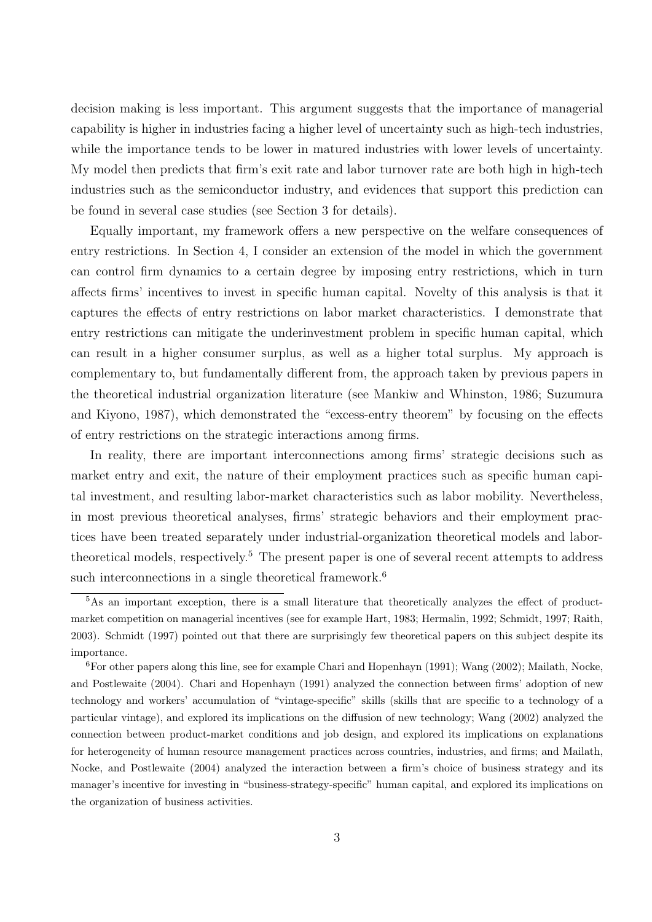decision making is less important. This argument suggests that the importance of managerial capability is higher in industries facing a higher level of uncertainty such as high-tech industries, while the importance tends to be lower in matured industries with lower levels of uncertainty. My model then predicts that firm's exit rate and labor turnover rate are both high in high-tech industries such as the semiconductor industry, and evidences that support this prediction can be found in several case studies (see Section 3 for details).

Equally important, my framework offers a new perspective on the welfare consequences of entry restrictions. In Section 4, I consider an extension of the model in which the government can control firm dynamics to a certain degree by imposing entry restrictions, which in turn affects firms' incentives to invest in specific human capital. Novelty of this analysis is that it captures the effects of entry restrictions on labor market characteristics. I demonstrate that entry restrictions can mitigate the underinvestment problem in specific human capital, which can result in a higher consumer surplus, as well as a higher total surplus. My approach is complementary to, but fundamentally different from, the approach taken by previous papers in the theoretical industrial organization literature (see Mankiw and Whinston, 1986; Suzumura and Kiyono, 1987), which demonstrated the "excess-entry theorem" by focusing on the effects of entry restrictions on the strategic interactions among firms.

In reality, there are important interconnections among firms' strategic decisions such as market entry and exit, the nature of their employment practices such as specific human capital investment, and resulting labor-market characteristics such as labor mobility. Nevertheless, in most previous theoretical analyses, firms' strategic behaviors and their employment practices have been treated separately under industrial-organization theoretical models and labortheoretical models, respectively.<sup>5</sup> The present paper is one of several recent attempts to address such interconnections in a single theoretical framework.<sup>6</sup>

 $5\text{As}$  an important exception, there is a small literature that theoretically analyzes the effect of productmarket competition on managerial incentives (see for example Hart, 1983; Hermalin, 1992; Schmidt, 1997; Raith, 2003). Schmidt (1997) pointed out that there are surprisingly few theoretical papers on this subject despite its importance.

 $6F$ or other papers along this line, see for example Chari and Hopenhayn (1991); Wang (2002); Mailath, Nocke, and Postlewaite (2004). Chari and Hopenhayn (1991) analyzed the connection between firms' adoption of new technology and workers' accumulation of "vintage-specific" skills (skills that are specific to a technology of a particular vintage), and explored its implications on the diffusion of new technology; Wang (2002) analyzed the connection between product-market conditions and job design, and explored its implications on explanations for heterogeneity of human resource management practices across countries, industries, and firms; and Mailath, Nocke, and Postlewaite (2004) analyzed the interaction between a firm's choice of business strategy and its manager's incentive for investing in "business-strategy-specific" human capital, and explored its implications on the organization of business activities.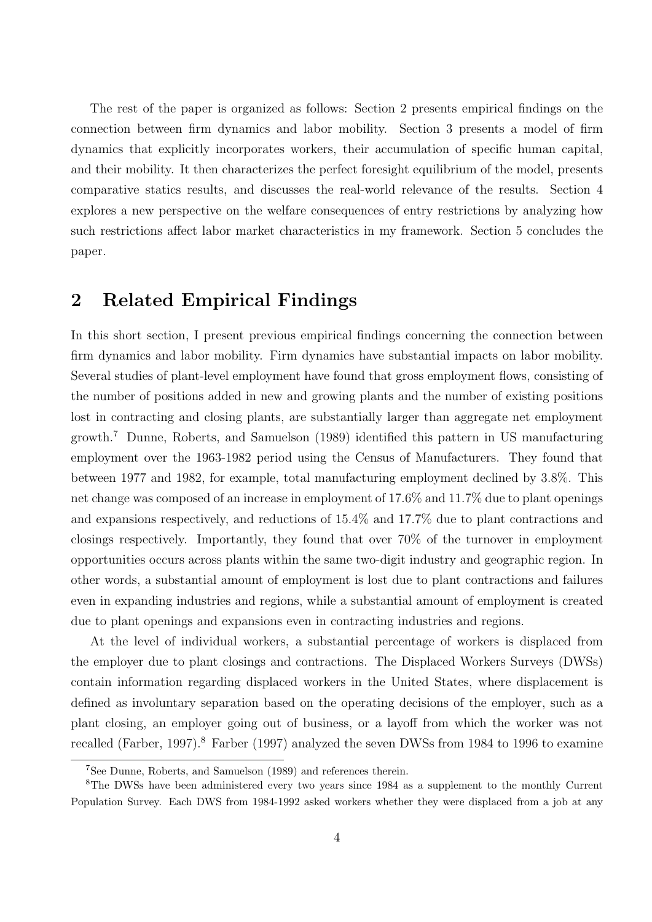The rest of the paper is organized as follows: Section 2 presents empirical findings on the connection between firm dynamics and labor mobility. Section 3 presents a model of firm dynamics that explicitly incorporates workers, their accumulation of specific human capital, and their mobility. It then characterizes the perfect foresight equilibrium of the model, presents comparative statics results, and discusses the real-world relevance of the results. Section 4 explores a new perspective on the welfare consequences of entry restrictions by analyzing how such restrictions affect labor market characteristics in my framework. Section 5 concludes the paper.

### 2 Related Empirical Findings

In this short section, I present previous empirical findings concerning the connection between firm dynamics and labor mobility. Firm dynamics have substantial impacts on labor mobility. Several studies of plant-level employment have found that gross employment flows, consisting of the number of positions added in new and growing plants and the number of existing positions lost in contracting and closing plants, are substantially larger than aggregate net employment growth.<sup>7</sup> Dunne, Roberts, and Samuelson (1989) identified this pattern in US manufacturing employment over the 1963-1982 period using the Census of Manufacturers. They found that between 1977 and 1982, for example, total manufacturing employment declined by 3.8%. This net change was composed of an increase in employment of 17.6% and 11.7% due to plant openings and expansions respectively, and reductions of 15.4% and 17.7% due to plant contractions and closings respectively. Importantly, they found that over 70% of the turnover in employment opportunities occurs across plants within the same two-digit industry and geographic region. In other words, a substantial amount of employment is lost due to plant contractions and failures even in expanding industries and regions, while a substantial amount of employment is created due to plant openings and expansions even in contracting industries and regions.

At the level of individual workers, a substantial percentage of workers is displaced from the employer due to plant closings and contractions. The Displaced Workers Surveys (DWSs) contain information regarding displaced workers in the United States, where displacement is defined as involuntary separation based on the operating decisions of the employer, such as a plant closing, an employer going out of business, or a layoff from which the worker was not recalled (Farber, 1997).<sup>8</sup> Farber (1997) analyzed the seven DWSs from 1984 to 1996 to examine

<sup>7</sup>See Dunne, Roberts, and Samuelson (1989) and references therein.

<sup>&</sup>lt;sup>8</sup>The DWSs have been administered every two years since 1984 as a supplement to the monthly Current Population Survey. Each DWS from 1984-1992 asked workers whether they were displaced from a job at any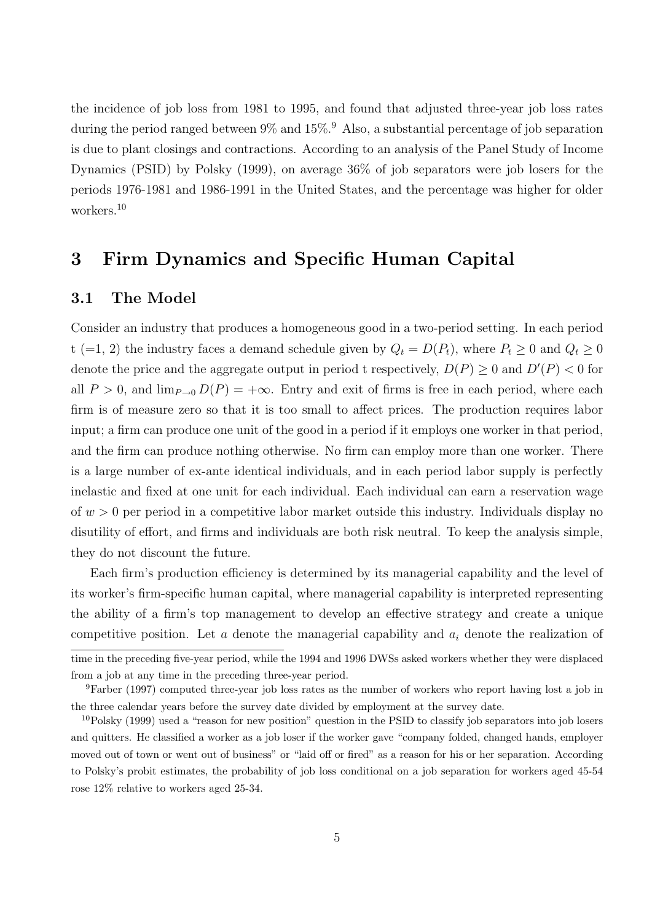the incidence of job loss from 1981 to 1995, and found that adjusted three-year job loss rates during the period ranged between  $9\%$  and  $15\%$ <sup>9</sup>. Also, a substantial percentage of job separation is due to plant closings and contractions. According to an analysis of the Panel Study of Income Dynamics (PSID) by Polsky (1999), on average 36% of job separators were job losers for the periods 1976-1981 and 1986-1991 in the United States, and the percentage was higher for older workers.<sup>10</sup>

## 3 Firm Dynamics and Specific Human Capital

### 3.1 The Model

Consider an industry that produces a homogeneous good in a two-period setting. In each period t (=1, 2) the industry faces a demand schedule given by  $Q_t = D(P_t)$ , where  $P_t \ge 0$  and  $Q_t \ge 0$ denote the price and the aggregate output in period t respectively,  $D(P) \geq 0$  and  $D'(P) < 0$  for all  $P > 0$ , and  $\lim_{P\to 0} D(P) = +\infty$ . Entry and exit of firms is free in each period, where each firm is of measure zero so that it is too small to affect prices. The production requires labor input; a firm can produce one unit of the good in a period if it employs one worker in that period, and the firm can produce nothing otherwise. No firm can employ more than one worker. There is a large number of ex-ante identical individuals, and in each period labor supply is perfectly inelastic and fixed at one unit for each individual. Each individual can earn a reservation wage of  $w > 0$  per period in a competitive labor market outside this industry. Individuals display no disutility of effort, and firms and individuals are both risk neutral. To keep the analysis simple, they do not discount the future.

Each firm's production efficiency is determined by its managerial capability and the level of its worker's firm-specific human capital, where managerial capability is interpreted representing the ability of a firm's top management to develop an effective strategy and create a unique competitive position. Let a denote the managerial capability and  $a_i$  denote the realization of time in the preceding five-year period, while the 1994 and 1996 DWSs asked workers whether they were displaced

the three calendar years before the survey date divided by employment at the survey date.

from a job at any time in the preceding three-year period. <sup>9</sup>Farber (1997) computed three-year job loss rates as the number of workers who report having lost a job in

 $10P$ olsky (1999) used a "reason for new position" question in the PSID to classify job separators into job losers and quitters. He classified a worker as a job loser if the worker gave "company folded, changed hands, employer moved out of town or went out of business" or "laid off or fired" as a reason for his or her separation. According to Polsky's probit estimates, the probability of job loss conditional on a job separation for workers aged 45-54 rose 12% relative to workers aged 25-34.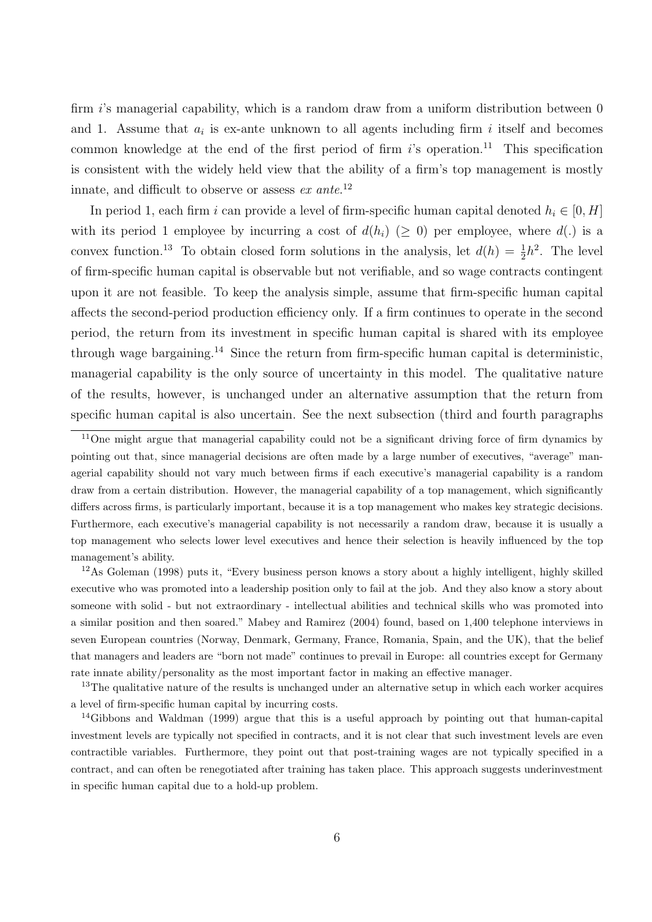firm  $i$ 's managerial capability, which is a random draw from a uniform distribution between 0 and 1. Assume that  $a_i$  is ex-ante unknown to all agents including firm i itself and becomes common knowledge at the end of the first period of firm  $i$ 's operation.<sup>11</sup> This specification is consistent with the widely held view that the ability of a firm's top management is mostly innate, and difficult to observe or assess  $ex$  ante.<sup>12</sup>

In period 1, each firm i can provide a level of firm-specific human capital denoted  $h_i \in [0, H]$ with its period 1 employee by incurring a cost of  $d(h_i)$  ( $\geq 0$ ) per employee, where  $d(.)$  is a convex function.<sup>13</sup> To obtain closed form solutions in the analysis, let  $d(h) = \frac{1}{2}h^2$ . The level of firm-specific human capital is observable but not verifiable, and so wage contracts contingent upon it are not feasible. To keep the analysis simple, assume that firm-specific human capital affects the second-period production efficiency only. If a firm continues to operate in the second period, the return from its investment in specific human capital is shared with its employee through wage bargaining.<sup>14</sup> Since the return from firm-specific human capital is deterministic, managerial capability is the only source of uncertainty in this model. The qualitative nature of the results, however, is unchanged under an alternative assumption that the return from specific human capital is also uncertain. See the next subsection (third and fourth paragraphs

<sup>12</sup>As Goleman (1998) puts it, "Every business person knows a story about a highly intelligent, highly skilled executive who was promoted into a leadership position only to fail at the job. And they also know a story about someone with solid - but not extraordinary - intellectual abilities and technical skills who was promoted into a similar position and then soared." Mabey and Ramirez (2004) found, based on 1,400 telephone interviews in seven European countries (Norway, Denmark, Germany, France, Romania, Spain, and the UK), that the belief that managers and leaders are "born not made" continues to prevail in Europe: all countries except for Germany rate innate ability/personality as the most important factor in making an effective manager.

<sup>13</sup>The qualitative nature of the results is unchanged under an alternative setup in which each worker acquires a level of firm-specific human capital by incurring costs.

<sup>14</sup>Gibbons and Waldman (1999) argue that this is a useful approach by pointing out that human-capital investment levels are typically not specified in contracts, and it is not clear that such investment levels are even contractible variables. Furthermore, they point out that post-training wages are not typically specified in a contract, and can often be renegotiated after training has taken place. This approach suggests underinvestment in specific human capital due to a hold-up problem.

<sup>&</sup>lt;sup>11</sup>One might argue that managerial capability could not be a significant driving force of firm dynamics by pointing out that, since managerial decisions are often made by a large number of executives, "average" managerial capability should not vary much between firms if each executive's managerial capability is a random draw from a certain distribution. However, the managerial capability of a top management, which significantly differs across firms, is particularly important, because it is a top management who makes key strategic decisions. Furthermore, each executive's managerial capability is not necessarily a random draw, because it is usually a top management who selects lower level executives and hence their selection is heavily influenced by the top management's ability.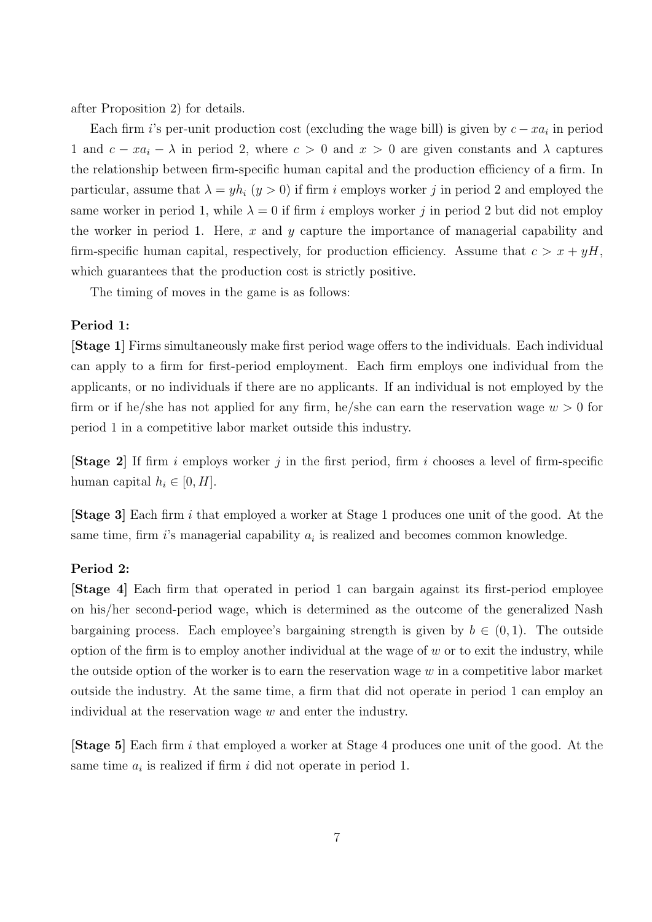after Proposition 2) for details.

Each firm i's per-unit production cost (excluding the wage bill) is given by  $c - xa_i$  in period 1 and  $c - xa_i - \lambda$  in period 2, where  $c > 0$  and  $x > 0$  are given constants and  $\lambda$  captures the relationship between firm-specific human capital and the production efficiency of a firm. In particular, assume that  $\lambda = yh_i$   $(y > 0)$  if firm i employs worker j in period 2 and employed the same worker in period 1, while  $\lambda = 0$  if firm i employs worker j in period 2 but did not employ the worker in period 1. Here,  $x$  and  $y$  capture the importance of managerial capability and firm-specific human capital, respectively, for production efficiency. Assume that  $c > x + yH$ , which guarantees that the production cost is strictly positive.

The timing of moves in the game is as follows:

#### Period 1:

[Stage 1] Firms simultaneously make first period wage offers to the individuals. Each individual can apply to a firm for first-period employment. Each firm employs one individual from the applicants, or no individuals if there are no applicants. If an individual is not employed by the firm or if he/she has not applied for any firm, he/she can earn the reservation wage  $w > 0$  for period 1 in a competitive labor market outside this industry.

**[Stage 2]** If firm i employs worker j in the first period, firm i chooses a level of firm-specific human capital  $h_i \in [0, H]$ .

[Stage 3] Each firm i that employed a worker at Stage 1 produces one unit of the good. At the same time, firm  $i$ 's managerial capability  $a_i$  is realized and becomes common knowledge.

### Period 2:

[Stage 4] Each firm that operated in period 1 can bargain against its first-period employee on his/her second-period wage, which is determined as the outcome of the generalized Nash bargaining process. Each employee's bargaining strength is given by  $b \in (0,1)$ . The outside option of the firm is to employ another individual at the wage of  $w$  or to exit the industry, while the outside option of the worker is to earn the reservation wage  $w$  in a competitive labor market outside the industry. At the same time, a firm that did not operate in period 1 can employ an individual at the reservation wage w and enter the industry.

[Stage 5] Each firm i that employed a worker at Stage 4 produces one unit of the good. At the same time  $a_i$  is realized if firm i did not operate in period 1.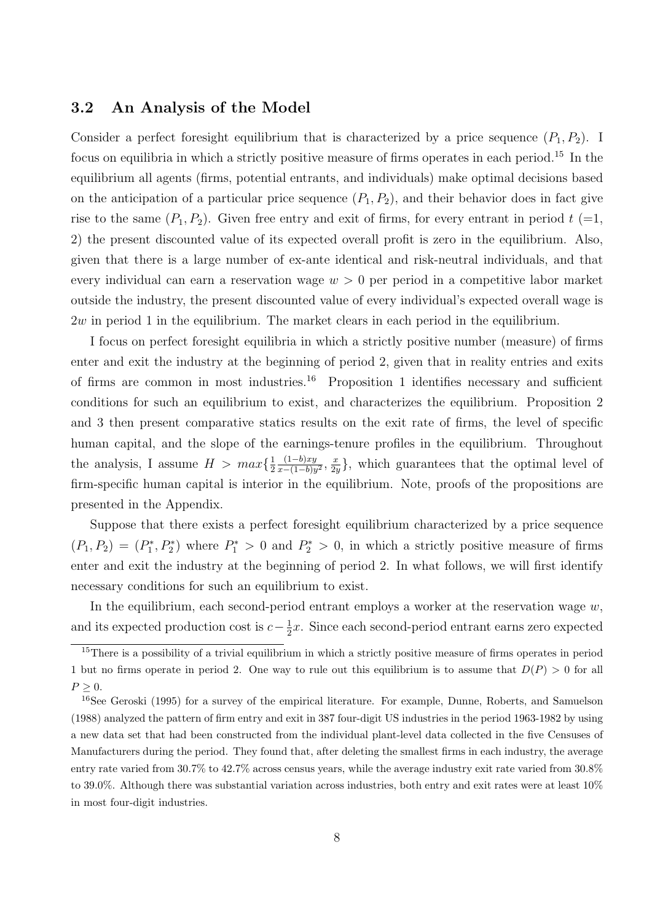### 3.2 An Analysis of the Model

Consider a perfect foresight equilibrium that is characterized by a price sequence  $(P_1, P_2)$ . I focus on equilibria in which a strictly positive measure of firms operates in each period.<sup>15</sup> In the equilibrium all agents (firms, potential entrants, and individuals) make optimal decisions based on the anticipation of a particular price sequence  $(P_1, P_2)$ , and their behavior does in fact give rise to the same  $(P_1, P_2)$ . Given free entry and exit of firms, for every entrant in period  $t (=1, 1)$ 2) the present discounted value of its expected overall profit is zero in the equilibrium. Also, given that there is a large number of ex-ante identical and risk-neutral individuals, and that every individual can earn a reservation wage  $w > 0$  per period in a competitive labor market outside the industry, the present discounted value of every individual's expected overall wage is  $2w$  in period 1 in the equilibrium. The market clears in each period in the equilibrium.

I focus on perfect foresight equilibria in which a strictly positive number (measure) of firms enter and exit the industry at the beginning of period 2, given that in reality entries and exits of firms are common in most industries.<sup>16</sup> Proposition 1 identifies necessary and sufficient conditions for such an equilibrium to exist, and characterizes the equilibrium. Proposition 2 and 3 then present comparative statics results on the exit rate of firms, the level of specific human capital, and the slope of the earnings-tenure profiles in the equilibrium. Throughout the analysis, I assume  $H > max\{\frac{1}{2}$ 2  $(1-b)xy$  $\frac{(1-b)xy}{x-(1-b)y^2}, \frac{x}{2y}$  $\frac{x}{2y}$ , which guarantees that the optimal level of firm-specific human capital is interior in the equilibrium. Note, proofs of the propositions are presented in the Appendix.

Suppose that there exists a perfect foresight equilibrium characterized by a price sequence  $(P_1, P_2) = (P_1^*, P_2^*)$  where  $P_1^* > 0$  and  $P_2^* > 0$ , in which a strictly positive measure of firms enter and exit the industry at the beginning of period 2. In what follows, we will first identify necessary conditions for such an equilibrium to exist.

In the equilibrium, each second-period entrant employs a worker at the reservation wage  $w$ , and its expected production cost is  $c-\frac{1}{2}$  $\frac{1}{2}x$ . Since each second-period entrant earns zero expected

<sup>&</sup>lt;sup>15</sup>There is a possibility of a trivial equilibrium in which a strictly positive measure of firms operates in period 1 but no firms operate in period 2. One way to rule out this equilibrium is to assume that  $D(P) > 0$  for all  $P \geq 0$ .

<sup>16</sup>See Geroski (1995) for a survey of the empirical literature. For example, Dunne, Roberts, and Samuelson (1988) analyzed the pattern of firm entry and exit in 387 four-digit US industries in the period 1963-1982 by using a new data set that had been constructed from the individual plant-level data collected in the five Censuses of Manufacturers during the period. They found that, after deleting the smallest firms in each industry, the average entry rate varied from 30.7% to 42.7% across census years, while the average industry exit rate varied from 30.8% to 39.0%. Although there was substantial variation across industries, both entry and exit rates were at least 10% in most four-digit industries.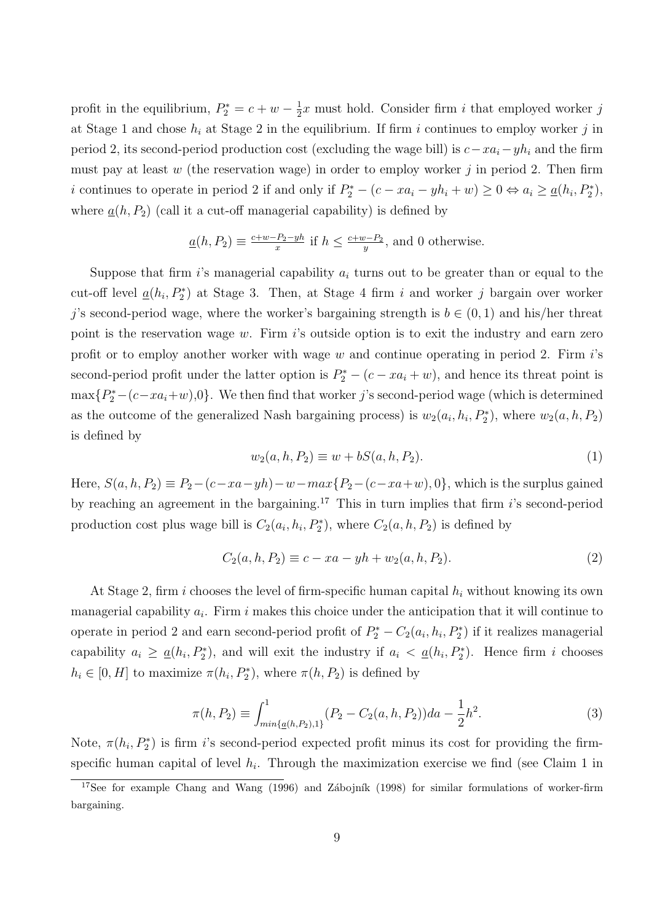profit in the equilibrium,  $P_2^* = c + w - \frac{1}{2}$  $\frac{1}{2}x$  must hold. Consider firm i that employed worker j at Stage 1 and chose  $h_i$  at Stage 2 in the equilibrium. If firm i continues to employ worker j in period 2, its second-period production cost (excluding the wage bill) is  $c-xa_i-yh_i$  and the firm must pay at least  $w$  (the reservation wage) in order to employ worker  $j$  in period 2. Then firm i continues to operate in period 2 if and only if  $P_2^* - (c - xa_i - yh_i + w) \ge 0 \Leftrightarrow a_i \ge \underline{a}(h_i, P_2^*),$ where  $\underline{a}(h, P_2)$  (call it a cut-off managerial capability) is defined by

$$
\underline{a}(h, P_2) \equiv \frac{c+w-P_2-yh}{x}
$$
 if  $h \le \frac{c+w-P_2}{y}$ , and 0 otherwise.

Suppose that firm i's managerial capability  $a_i$  turns out to be greater than or equal to the cut-off level  $\underline{a}(h_i, P_2^*)$  at Stage 3. Then, at Stage 4 firm i and worker j bargain over worker j's second-period wage, where the worker's bargaining strength is  $b \in (0,1)$  and his/her threat point is the reservation wage  $w$ . Firm is outside option is to exit the industry and earn zero profit or to employ another worker with wage  $w$  and continue operating in period 2. Firm  $i$ 's second-period profit under the latter option is  $P_2^* - (c - xa_i + w)$ , and hence its threat point is  $\max\{P_2^*(-(c-xa_i+w),0\}$ . We then find that worker j's second-period wage (which is determined as the outcome of the generalized Nash bargaining process) is  $w_2(a_i, h_i, P_2^*)$ , where  $w_2(a, h, P_2)$ is defined by

$$
w_2(a, h, P_2) \equiv w + bS(a, h, P_2).
$$
\n(1)

Here,  $S(a, h, P_2) \equiv P_2 - (c - xa - yh) - w - max\{P_2 - (c - xa + w), 0\}$ , which is the surplus gained by reaching an agreement in the bargaining.<sup>17</sup> This in turn implies that firm  $i$ 's second-period production cost plus wage bill is  $C_2(a_i, h_i, P_2^*)$ , where  $C_2(a, h, P_2)$  is defined by

$$
C_2(a, h, P_2) \equiv c - xa - yh + w_2(a, h, P_2).
$$
\n(2)

At Stage 2, firm i chooses the level of firm-specific human capital  $h_i$  without knowing its own managerial capability  $a_i$ . Firm i makes this choice under the anticipation that it will continue to operate in period 2 and earn second-period profit of  $P_2^* - C_2(a_i, h_i, P_2^*)$  if it realizes managerial capability  $a_i \geq \underline{a}(h_i, P_2^*)$ , and will exit the industry if  $a_i < \underline{a}(h_i, P_2^*)$ . Hence firm i chooses  $h_i \in [0, H]$  to maximize  $\pi(h_i, P_2^*)$ , where  $\pi(h, P_2)$  is defined by

$$
\pi(h, P_2) \equiv \int_{min\{\underline{a}(h, P_2), 1\}}^{1} (P_2 - C_2(a, h, P_2)) da - \frac{1}{2} h^2.
$$
\n(3)

Note,  $\pi(h_i, P_2^*)$  is firm i's second-period expected profit minus its cost for providing the firmspecific human capital of level  $h_i$ . Through the maximization exercise we find (see Claim 1 in

<sup>&</sup>lt;sup>17</sup>See for example Chang and Wang (1996) and Zábojník (1998) for similar formulations of worker-firm bargaining.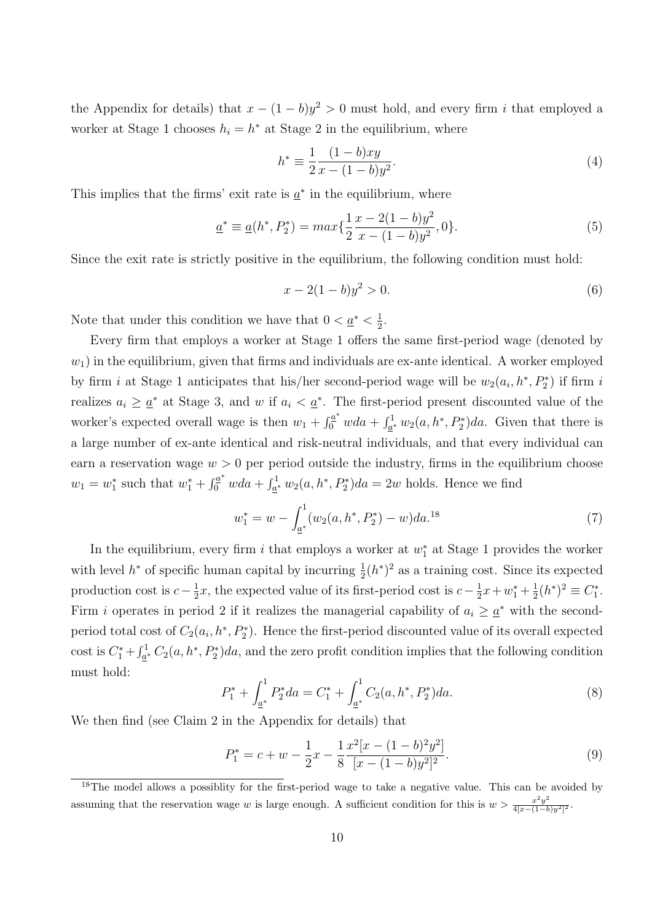the Appendix for details) that  $x - (1 - b)y^2 > 0$  must hold, and every firm i that employed a worker at Stage 1 chooses  $h_i = h^*$  at Stage 2 in the equilibrium, where

$$
h^* \equiv \frac{1}{2} \frac{(1-b)xy}{x - (1-b)y^2}.
$$
\n(4)

This implies that the firms' exit rate is  $\underline{a}^*$  in the equilibrium, where

$$
\underline{a}^* \equiv \underline{a}(h^*, P_2^*) = \max\{\frac{1}{2}\frac{x - 2(1 - b)y^2}{x - (1 - b)y^2}, 0\}.
$$
\n(5)

Since the exit rate is strictly positive in the equilibrium, the following condition must hold:

$$
x - 2(1 - b)y^2 > 0.
$$
\n(6)

Note that under this condition we have that  $0 < \underline{a}^* < \frac{1}{2}$  $\frac{1}{2}$ .

Every firm that employs a worker at Stage 1 offers the same first-period wage (denoted by  $w_1$ ) in the equilibrium, given that firms and individuals are ex-ante identical. A worker employed by firm i at Stage 1 anticipates that his/her second-period wage will be  $w_2(a_i, h^*, P_2^*)$  if firm i realizes  $a_i \geq \underline{a}^*$  at Stage 3, and w if  $a_i < \underline{a}^*$ . The first-period present discounted value of the worker's expected overall wage is then  $w_1 + \int_0^{a^*} w da + \int_{a^*}^1 w_2(a, h^*, P_2^*) da$ . Given that there is a large number of ex-ante identical and risk-neutral individuals, and that every individual can earn a reservation wage  $w > 0$  per period outside the industry, firms in the equilibrium choose  $w_1 = w_1^*$  such that  $w_1^* + \int_0^{a^*} w da + \int_{a^*}^1 w_2(a, h^*, P_2^*) da = 2w$  holds. Hence we find

$$
w_1^* = w - \int_{\underline{a}^*}^1 (w_2(a, h^*, P_2^*) - w) da^{18}
$$
 (7)

In the equilibrium, every firm  $i$  that employs a worker at  $w_1^*$  at Stage 1 provides the worker with level  $h^*$  of specific human capital by incurring  $\frac{1}{2}(h^*)^2$  as a training cost. Since its expected production cost is  $c - \frac{1}{2}$  $\frac{1}{2}x$ , the expected value of its first-period cost is  $c - \frac{1}{2}$  $\frac{1}{2}x + w_1^* + \frac{1}{2}$  $\frac{1}{2}(h^*)^2 \equiv C_1^*$ . Firm *i* operates in period 2 if it realizes the managerial capability of  $a_i \geq a^*$  with the secondperiod total cost of  $C_2(a_i, h^*, P_2^*)$ . Hence the first-period discounted value of its overall expected cost is  $C_1^* + \int_{\underline{a}^*}^1 C_2(a, h^*, P_2^*) da$ , and the zero profit condition implies that the following condition must hold:

$$
P_1^* + \int_{\underline{a}^*}^1 P_2^* da = C_1^* + \int_{\underline{a}^*}^1 C_2(a, h^*, P_2^*) da.
$$
 (8)

We then find (see Claim 2 in the Appendix for details) that

$$
P_1^* = c + w - \frac{1}{2}x - \frac{1}{8} \frac{x^2[x - (1 - b)^2 y^2]}{[x - (1 - b)y^2]^2}.
$$
\n(9)

 $18$ The model allows a possiblity for the first-period wage to take a negative value. This can be avoided by assuming that the reservation wage w is large enough. A sufficient condition for this is  $w > \frac{x^2y^2}{4(x-1-b)}$  $rac{x^2y}{4[x-(1-b)y^2]^2}$ .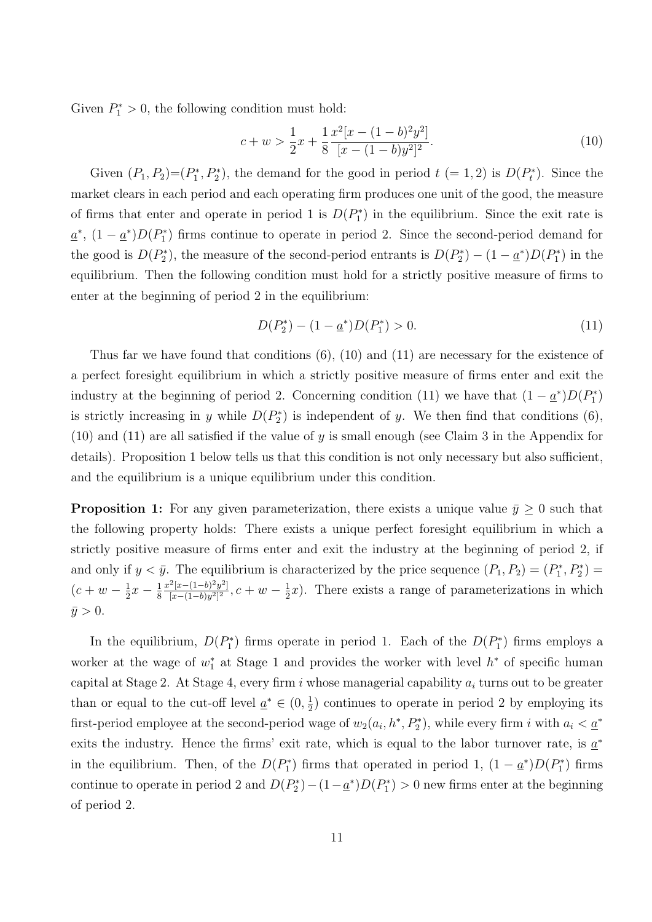Given  $P_1^* > 0$ , the following condition must hold:

$$
c + w > \frac{1}{2}x + \frac{1}{8} \frac{x^2[x - (1 - b)^2 y^2]}{[x - (1 - b)y^2]^2}.
$$
\n
$$
(10)
$$

Given  $(P_1, P_2)=(P_1^*, P_2^*)$ , the demand for the good in period  $t (= 1, 2)$  is  $D(P_t^*)$ . Since the market clears in each period and each operating firm produces one unit of the good, the measure of firms that enter and operate in period 1 is  $D(P_1^*)$  in the equilibrium. Since the exit rate is  $\underline{a}^*$ ,  $(1 - \underline{a}^*)D(P_1^*)$  firms continue to operate in period 2. Since the second-period demand for the good is  $D(P_2^*)$ , the measure of the second-period entrants is  $D(P_2^*) - (1 - \underline{a}^*)D(P_1^*)$  in the equilibrium. Then the following condition must hold for a strictly positive measure of firms to enter at the beginning of period 2 in the equilibrium:

$$
D(P_2^*) - (1 - \underline{a}^*) D(P_1^*) > 0.
$$
\n(11)

Thus far we have found that conditions (6), (10) and (11) are necessary for the existence of a perfect foresight equilibrium in which a strictly positive measure of firms enter and exit the industry at the beginning of period 2. Concerning condition (11) we have that  $(1 - \underline{a}^*)D(P_1^*)$ is strictly increasing in y while  $D(P_2^*)$  is independent of y. We then find that conditions (6), (10) and (11) are all satisfied if the value of y is small enough (see Claim 3 in the Appendix for details). Proposition 1 below tells us that this condition is not only necessary but also sufficient, and the equilibrium is a unique equilibrium under this condition.

**Proposition 1:** For any given parameterization, there exists a unique value  $\bar{y} \geq 0$  such that the following property holds: There exists a unique perfect foresight equilibrium in which a strictly positive measure of firms enter and exit the industry at the beginning of period 2, if and only if  $y < \bar{y}$ . The equilibrium is characterized by the price sequence  $(P_1, P_2) = (P_1^*, P_2^*)$  $(c + w - \frac{1}{2})$  $rac{1}{2}x - \frac{1}{8}$ 8  $x^2[x-(1-b)^2y^2]$  $\frac{[x-(1-b)^2y^2]}{[x-(1-b)y^2]^2}$ ,  $c+w-\frac{1}{2}$  $\frac{1}{2}x$ ). There exists a range of parameterizations in which  $\bar{y} > 0.$ 

In the equilibrium,  $D(P_1^*)$  firms operate in period 1. Each of the  $D(P_1^*)$  firms employs a worker at the wage of  $w_1^*$  at Stage 1 and provides the worker with level  $h^*$  of specific human capital at Stage 2. At Stage 4, every firm i whose managerial capability  $a_i$  turns out to be greater than or equal to the cut-off level  $a^* \in (0, \frac{1}{2})$  $\frac{1}{2}$ ) continues to operate in period 2 by employing its first-period employee at the second-period wage of  $w_2(a_i, h^*, P_2^*)$ , while every firm i with  $a_i < \underline{a}^*$ exits the industry. Hence the firms' exit rate, which is equal to the labor turnover rate, is  $\underline{a}^*$ in the equilibrium. Then, of the  $D(P_1^*)$  firms that operated in period 1,  $(1 - \underline{a}^*)D(P_1^*)$  firms continue to operate in period 2 and  $D(P_2^*) - (1 - \underline{a}^*) D(P_1^*) > 0$  new firms enter at the beginning of period 2.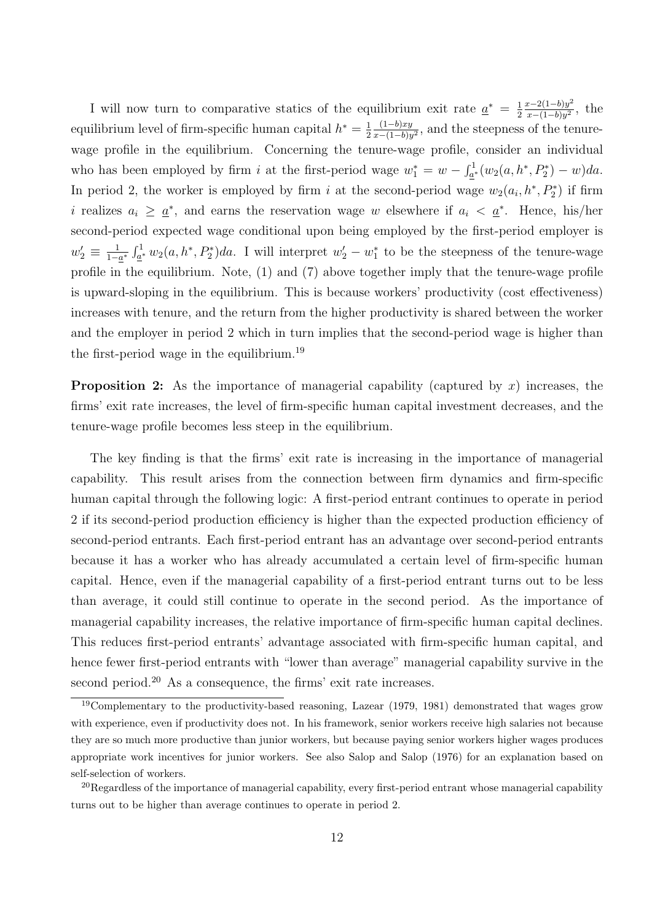I will now turn to comparative statics of the equilibrium exit rate  $\frac{a^*}{a^*} = \frac{1}{2}$ 2  $x-2(1-b)y^2$  $\frac{x-2(1-b)y^2}{x-(1-b)y^2}$ , the equilibrium level of firm-specific human capital  $h^* = \frac{1}{2}$ 2  $(1-b)xy$  $\frac{(1-b)xy}{x-(1-b)y^2}$ , and the steepness of the tenurewage profile in the equilibrium. Concerning the tenure-wage profile, consider an individual who has been employed by firm i at the first-period wage  $w_1^* = w - \int_{a^*}^1 (w_2(a, h^*, P_2^*) - w) da$ . In period 2, the worker is employed by firm i at the second-period wage  $w_2(a_i, h^*, P_2^*)$  if firm i realizes  $a_i \geq \underline{a}^*$ , and earns the reservation wage w elsewhere if  $a_i < \underline{a}^*$ . Hence, his/her second-period expected wage conditional upon being employed by the first-period employer is  $w'_2 \equiv \frac{1}{1-\epsilon}$  $\frac{1}{1-a^*} \int_{\underline{a}^*}^1 w_2(a, h^*, P_2^*) da$ . I will interpret  $w_2' - w_1^*$  to be the steepness of the tenure-wage profile in the equilibrium. Note, (1) and (7) above together imply that the tenure-wage profile is upward-sloping in the equilibrium. This is because workers' productivity (cost effectiveness) increases with tenure, and the return from the higher productivity is shared between the worker and the employer in period 2 which in turn implies that the second-period wage is higher than the first-period wage in the equilibrium.<sup>19</sup>

**Proposition 2:** As the importance of managerial capability (captured by x) increases, the firms' exit rate increases, the level of firm-specific human capital investment decreases, and the tenure-wage profile becomes less steep in the equilibrium.

The key finding is that the firms' exit rate is increasing in the importance of managerial capability. This result arises from the connection between firm dynamics and firm-specific human capital through the following logic: A first-period entrant continues to operate in period 2 if its second-period production efficiency is higher than the expected production efficiency of second-period entrants. Each first-period entrant has an advantage over second-period entrants because it has a worker who has already accumulated a certain level of firm-specific human capital. Hence, even if the managerial capability of a first-period entrant turns out to be less than average, it could still continue to operate in the second period. As the importance of managerial capability increases, the relative importance of firm-specific human capital declines. This reduces first-period entrants' advantage associated with firm-specific human capital, and hence fewer first-period entrants with "lower than average" managerial capability survive in the second period.<sup>20</sup> As a consequence, the firms' exit rate increases.

<sup>&</sup>lt;sup>19</sup>Complementary to the productivity-based reasoning, Lazear (1979, 1981) demonstrated that wages grow with experience, even if productivity does not. In his framework, senior workers receive high salaries not because they are so much more productive than junior workers, but because paying senior workers higher wages produces appropriate work incentives for junior workers. See also Salop and Salop (1976) for an explanation based on self-selection of workers.

<sup>&</sup>lt;sup>20</sup>Regardless of the importance of managerial capability, every first-period entrant whose managerial capability turns out to be higher than average continues to operate in period 2.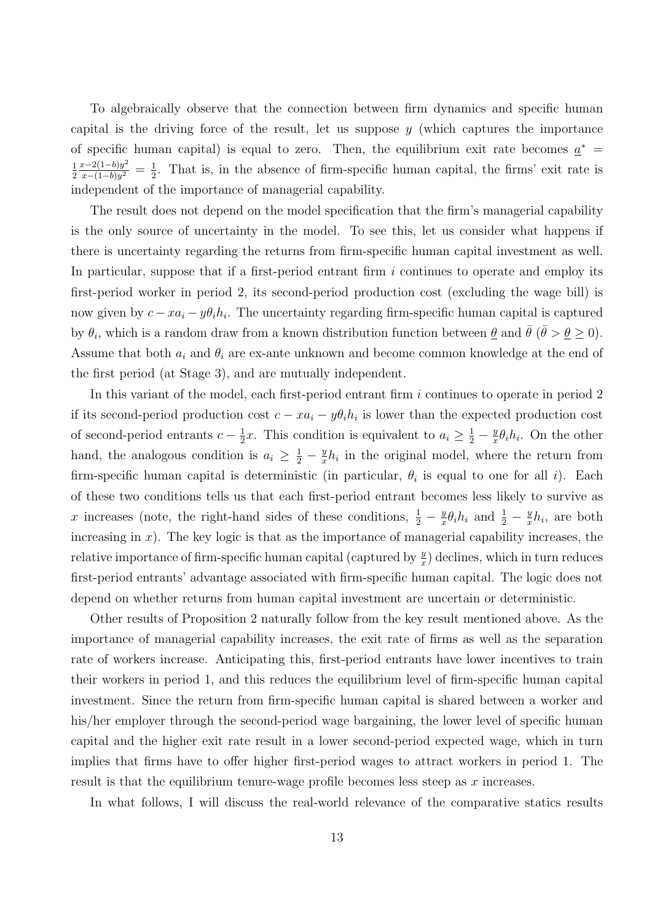To algebraically observe that the connection between firm dynamics and specific human capital is the driving force of the result, let us suppose  $y$  (which captures the importance of specific human capital) is equal to zero. Then, the equilibrium exit rate becomes  $a^*$ 1 2  $x-2(1-b)y^2$  $\frac{x-2(1-b)y^2}{x-(1-b)y^2} = \frac{1}{2}$  $\frac{1}{2}$ . That is, in the absence of firm-specific human capital, the firms' exit rate is independent of the importance of managerial capability.

The result does not depend on the model specification that the firm's managerial capability is the only source of uncertainty in the model. To see this, let us consider what happens if there is uncertainty regarding the returns from firm-specific human capital investment as well. In particular, suppose that if a first-period entrant firm  $i$  continues to operate and employ its first-period worker in period 2, its second-period production cost (excluding the wage bill) is now given by  $c - x a_i - y \theta_i h_i$ . The uncertainty regarding firm-specific human capital is captured by  $\theta_i$ , which is a random draw from a known distribution function between  $\underline{\theta}$  and  $\overline{\theta}$  ( $\overline{\theta} > \underline{\theta} \ge 0$ ). Assume that both  $a_i$  and  $\theta_i$  are ex-ante unknown and become common knowledge at the end of the first period (at Stage 3), and are mutually independent.

In this variant of the model, each first-period entrant firm i continues to operate in period 2 if its second-period production cost  $c - xa_i - y\theta_i h_i$  is lower than the expected production cost of second-period entrants  $c - \frac{1}{2}$  $\frac{1}{2}x$ . This condition is equivalent to  $a_i \geq \frac{1}{2} - \frac{y}{x}$  $\frac{y}{x}\theta_i h_i$ . On the other hand, the analogous condition is  $a_i \geq \frac{1}{2} - \frac{y}{x}$  $\frac{y}{x}h_i$  in the original model, where the return from firm-specific human capital is deterministic (in particular,  $\theta_i$  is equal to one for all i). Each of these two conditions tells us that each first-period entrant becomes less likely to survive as x increases (note, the right-hand sides of these conditions,  $\frac{1}{2} - \frac{y}{x}$  $\frac{y}{x}\theta_i h_i$  and  $\frac{1}{2} - \frac{y}{x}$  $\frac{y}{x}h_i$ , are both increasing in  $x$ ). The key logic is that as the importance of managerial capability increases, the relative importance of firm-specific human capital (captured by  $\frac{y}{x}$ ) declines, which in turn reduces first-period entrants' advantage associated with firm-specific human capital. The logic does not depend on whether returns from human capital investment are uncertain or deterministic.

Other results of Proposition 2 naturally follow from the key result mentioned above. As the importance of managerial capability increases, the exit rate of firms as well as the separation rate of workers increase. Anticipating this, first-period entrants have lower incentives to train their workers in period 1, and this reduces the equilibrium level of firm-specific human capital investment. Since the return from firm-specific human capital is shared between a worker and his/her employer through the second-period wage bargaining, the lower level of specific human capital and the higher exit rate result in a lower second-period expected wage, which in turn implies that firms have to offer higher first-period wages to attract workers in period 1. The result is that the equilibrium tenure-wage profile becomes less steep as  $x$  increases.

In what follows, I will discuss the real-world relevance of the comparative statics results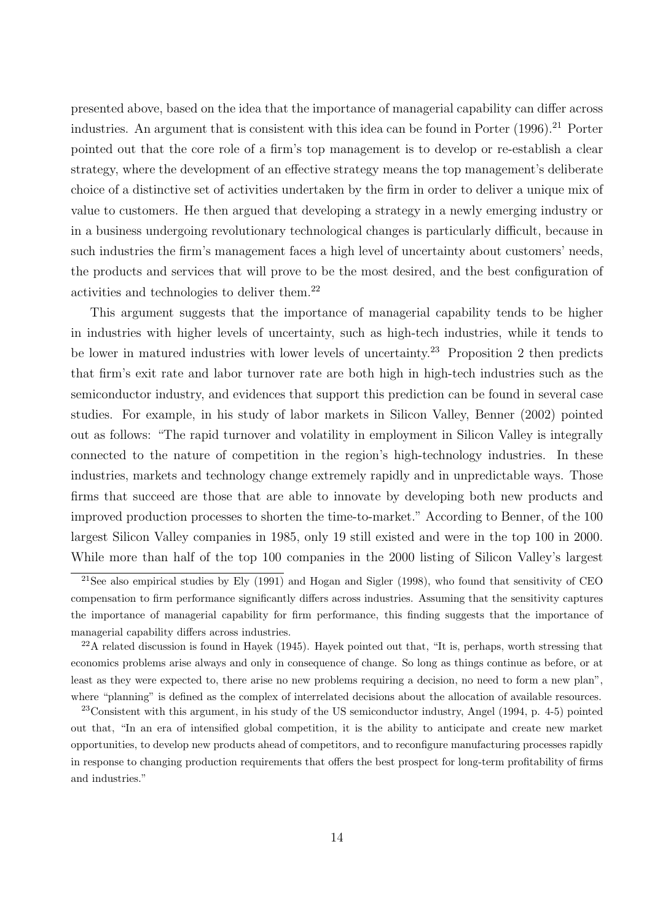presented above, based on the idea that the importance of managerial capability can differ across industries. An argument that is consistent with this idea can be found in Porter (1996).<sup>21</sup> Porter pointed out that the core role of a firm's top management is to develop or re-establish a clear strategy, where the development of an effective strategy means the top management's deliberate choice of a distinctive set of activities undertaken by the firm in order to deliver a unique mix of value to customers. He then argued that developing a strategy in a newly emerging industry or in a business undergoing revolutionary technological changes is particularly difficult, because in such industries the firm's management faces a high level of uncertainty about customers' needs, the products and services that will prove to be the most desired, and the best configuration of activities and technologies to deliver them.<sup>22</sup>

This argument suggests that the importance of managerial capability tends to be higher in industries with higher levels of uncertainty, such as high-tech industries, while it tends to be lower in matured industries with lower levels of uncertainty.<sup>23</sup> Proposition 2 then predicts that firm's exit rate and labor turnover rate are both high in high-tech industries such as the semiconductor industry, and evidences that support this prediction can be found in several case studies. For example, in his study of labor markets in Silicon Valley, Benner (2002) pointed out as follows: "The rapid turnover and volatility in employment in Silicon Valley is integrally connected to the nature of competition in the region's high-technology industries. In these industries, markets and technology change extremely rapidly and in unpredictable ways. Those firms that succeed are those that are able to innovate by developing both new products and improved production processes to shorten the time-to-market." According to Benner, of the 100 largest Silicon Valley companies in 1985, only 19 still existed and were in the top 100 in 2000. While more than half of the top 100 companies in the 2000 listing of Silicon Valley's largest

<sup>&</sup>lt;sup>21</sup>See also empirical studies by Ely  $(1991)$  and Hogan and Sigler  $(1998)$ , who found that sensitivity of CEO compensation to firm performance significantly differs across industries. Assuming that the sensitivity captures the importance of managerial capability for firm performance, this finding suggests that the importance of managerial capability differs across industries.

 $22A$  related discussion is found in Hayek (1945). Hayek pointed out that, "It is, perhaps, worth stressing that economics problems arise always and only in consequence of change. So long as things continue as before, or at least as they were expected to, there arise no new problems requiring a decision, no need to form a new plan", where "planning" is defined as the complex of interrelated decisions about the allocation of available resources.

<sup>23</sup>Consistent with this argument, in his study of the US semiconductor industry, Angel (1994, p. 4-5) pointed out that, "In an era of intensified global competition, it is the ability to anticipate and create new market opportunities, to develop new products ahead of competitors, and to reconfigure manufacturing processes rapidly in response to changing production requirements that offers the best prospect for long-term profitability of firms and industries."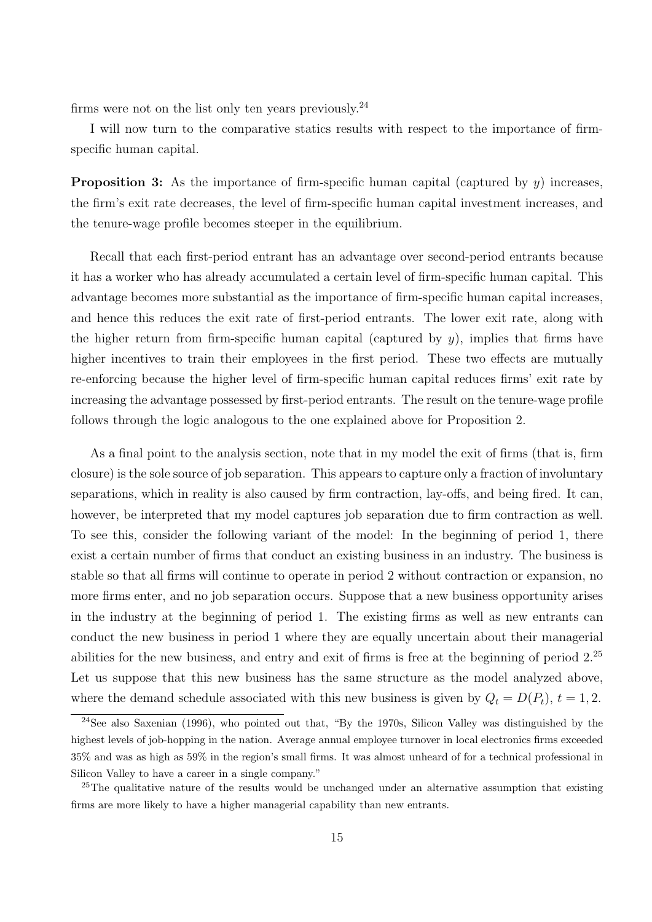firms were not on the list only ten years previously.<sup>24</sup>

I will now turn to the comparative statics results with respect to the importance of firmspecific human capital.

**Proposition 3:** As the importance of firm-specific human capital (captured by  $y$ ) increases, the firm's exit rate decreases, the level of firm-specific human capital investment increases, and the tenure-wage profile becomes steeper in the equilibrium.

Recall that each first-period entrant has an advantage over second-period entrants because it has a worker who has already accumulated a certain level of firm-specific human capital. This advantage becomes more substantial as the importance of firm-specific human capital increases, and hence this reduces the exit rate of first-period entrants. The lower exit rate, along with the higher return from firm-specific human capital (captured by  $y$ ), implies that firms have higher incentives to train their employees in the first period. These two effects are mutually re-enforcing because the higher level of firm-specific human capital reduces firms' exit rate by increasing the advantage possessed by first-period entrants. The result on the tenure-wage profile follows through the logic analogous to the one explained above for Proposition 2.

As a final point to the analysis section, note that in my model the exit of firms (that is, firm closure) is the sole source of job separation. This appears to capture only a fraction of involuntary separations, which in reality is also caused by firm contraction, lay-offs, and being fired. It can, however, be interpreted that my model captures job separation due to firm contraction as well. To see this, consider the following variant of the model: In the beginning of period 1, there exist a certain number of firms that conduct an existing business in an industry. The business is stable so that all firms will continue to operate in period 2 without contraction or expansion, no more firms enter, and no job separation occurs. Suppose that a new business opportunity arises in the industry at the beginning of period 1. The existing firms as well as new entrants can conduct the new business in period 1 where they are equally uncertain about their managerial abilities for the new business, and entry and exit of firms is free at the beginning of period  $2^{25}$ Let us suppose that this new business has the same structure as the model analyzed above, where the demand schedule associated with this new business is given by  $Q_t = D(P_t)$ ,  $t = 1, 2$ .

<sup>24</sup>See also Saxenian (1996), who pointed out that, "By the 1970s, Silicon Valley was distinguished by the highest levels of job-hopping in the nation. Average annual employee turnover in local electronics firms exceeded 35% and was as high as 59% in the region's small firms. It was almost unheard of for a technical professional in Silicon Valley to have a career in a single company."

<sup>&</sup>lt;sup>25</sup>The qualitative nature of the results would be unchanged under an alternative assumption that existing firms are more likely to have a higher managerial capability than new entrants.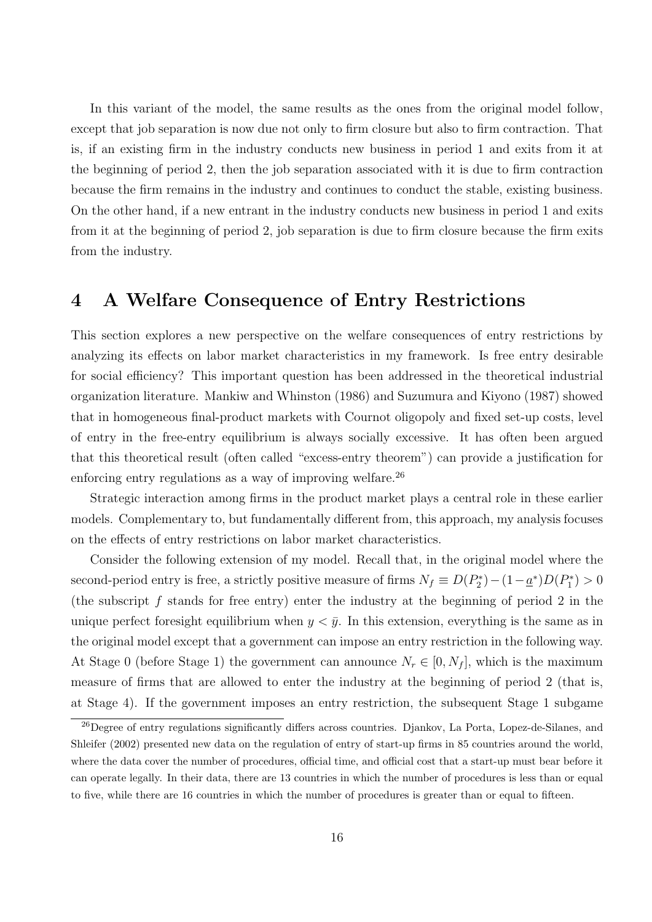In this variant of the model, the same results as the ones from the original model follow, except that job separation is now due not only to firm closure but also to firm contraction. That is, if an existing firm in the industry conducts new business in period 1 and exits from it at the beginning of period 2, then the job separation associated with it is due to firm contraction because the firm remains in the industry and continues to conduct the stable, existing business. On the other hand, if a new entrant in the industry conducts new business in period 1 and exits from it at the beginning of period 2, job separation is due to firm closure because the firm exits from the industry.

### 4 A Welfare Consequence of Entry Restrictions

This section explores a new perspective on the welfare consequences of entry restrictions by analyzing its effects on labor market characteristics in my framework. Is free entry desirable for social efficiency? This important question has been addressed in the theoretical industrial organization literature. Mankiw and Whinston (1986) and Suzumura and Kiyono (1987) showed that in homogeneous final-product markets with Cournot oligopoly and fixed set-up costs, level of entry in the free-entry equilibrium is always socially excessive. It has often been argued that this theoretical result (often called "excess-entry theorem") can provide a justification for enforcing entry regulations as a way of improving welfare.<sup>26</sup>

Strategic interaction among firms in the product market plays a central role in these earlier models. Complementary to, but fundamentally different from, this approach, my analysis focuses on the effects of entry restrictions on labor market characteristics.

Consider the following extension of my model. Recall that, in the original model where the second-period entry is free, a strictly positive measure of firms  $N_f \equiv D(P_2^*) - (1 - \underline{a}^*) D(P_1^*) > 0$ (the subscript  $f$  stands for free entry) enter the industry at the beginning of period 2 in the unique perfect foresight equilibrium when  $y < \bar{y}$ . In this extension, everything is the same as in the original model except that a government can impose an entry restriction in the following way. At Stage 0 (before Stage 1) the government can announce  $N_r \in [0, N_f]$ , which is the maximum measure of firms that are allowed to enter the industry at the beginning of period 2 (that is, at Stage 4). If the government imposes an entry restriction, the subsequent Stage 1 subgame

<sup>26</sup>Degree of entry regulations significantly differs across countries. Djankov, La Porta, Lopez-de-Silanes, and Shleifer (2002) presented new data on the regulation of entry of start-up firms in 85 countries around the world, where the data cover the number of procedures, official time, and official cost that a start-up must bear before it can operate legally. In their data, there are 13 countries in which the number of procedures is less than or equal to five, while there are 16 countries in which the number of procedures is greater than or equal to fifteen.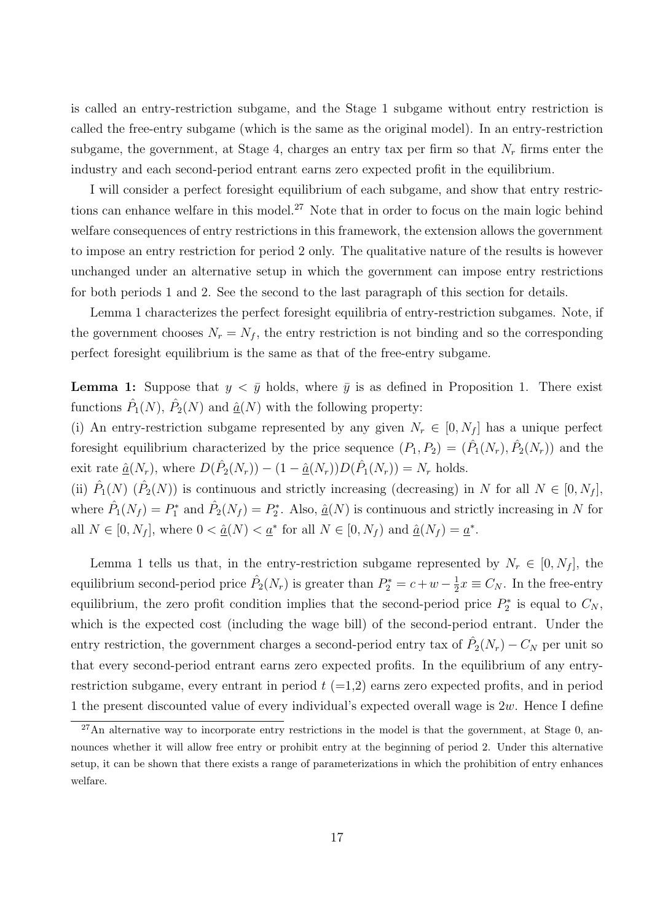is called an entry-restriction subgame, and the Stage 1 subgame without entry restriction is called the free-entry subgame (which is the same as the original model). In an entry-restriction subgame, the government, at Stage 4, charges an entry tax per firm so that  $N_r$  firms enter the industry and each second-period entrant earns zero expected profit in the equilibrium.

I will consider a perfect foresight equilibrium of each subgame, and show that entry restrictions can enhance welfare in this model.<sup>27</sup> Note that in order to focus on the main logic behind welfare consequences of entry restrictions in this framework, the extension allows the government to impose an entry restriction for period 2 only. The qualitative nature of the results is however unchanged under an alternative setup in which the government can impose entry restrictions for both periods 1 and 2. See the second to the last paragraph of this section for details.

Lemma 1 characterizes the perfect foresight equilibria of entry-restriction subgames. Note, if the government chooses  $N_r = N_f$ , the entry restriction is not binding and so the corresponding perfect foresight equilibrium is the same as that of the free-entry subgame.

**Lemma 1:** Suppose that  $y < \bar{y}$  holds, where  $\bar{y}$  is as defined in Proposition 1. There exist functions  $\hat{P}_1(N)$ ,  $\hat{P}_2(N)$  and  $\underline{\hat{a}}(N)$  with the following property:

(i) An entry-restriction subgame represented by any given  $N_r \in [0, N_f]$  has a unique perfect fore sight equilibrium characterized by the price sequence  $(P_1, P_2) = (\hat{P}_1(N_r), \hat{P}_2(N_r))$  and the exit rate  $\underline{\hat{a}}(N_r)$ , where  $D(\hat{P}_2(N_r)) - (1 - \underline{\hat{a}}(N_r))D(\hat{P}_1(N_r)) = N_r$  holds.

(ii)  $\hat{P}_1(N)$   $(\hat{P}_2(N))$  is continuous and strictly increasing (decreasing) in N for all  $N \in [0, N_f]$ , where  $\hat{P}_1(N_f) = P_1^*$  and  $\hat{P}_2(N_f) = P_2^*$ . Also,  $\underline{\hat{a}}(N)$  is continuous and strictly increasing in N for all  $N \in [0, N_f]$ , where  $0 < \hat{\underline{a}}(N) < \underline{a}^*$  for all  $N \in [0, N_f)$  and  $\hat{\underline{a}}(N_f) = \underline{a}^*$ .

Lemma 1 tells us that, in the entry-restriction subgame represented by  $N_r \in [0, N_f]$ , the equilibrium second-period price  $\hat{P}_2(N_r)$  is greater than  $P_2^* = c + w - \frac{1}{2}$  $\frac{1}{2}x \equiv C_N$ . In the free-entry equilibrium, the zero profit condition implies that the second-period price  $P_2^*$  is equal to  $C_N$ , which is the expected cost (including the wage bill) of the second-period entrant. Under the entry restriction, the government charges a second-period entry tax of  $\hat{P}_2(N_r) - C_N$  per unit so that every second-period entrant earns zero expected profits. In the equilibrium of any entryrestriction subgame, every entrant in period  $t$  (=1,2) earns zero expected profits, and in period 1 the present discounted value of every individual's expected overall wage is  $2w$ . Hence I define

<sup>27</sup>An alternative way to incorporate entry restrictions in the model is that the government, at Stage 0, announces whether it will allow free entry or prohibit entry at the beginning of period 2. Under this alternative setup, it can be shown that there exists a range of parameterizations in which the prohibition of entry enhances welfare.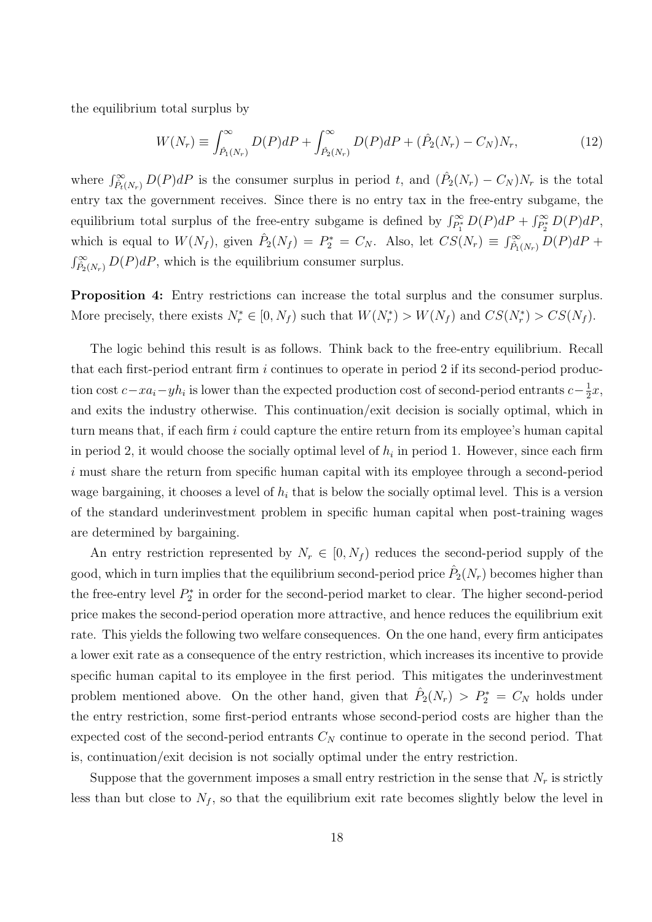the equilibrium total surplus by

$$
W(N_r) \equiv \int_{\hat{P}_1(N_r)}^{\infty} D(P) dP + \int_{\hat{P}_2(N_r)}^{\infty} D(P) dP + (\hat{P}_2(N_r) - C_N) N_r, \tag{12}
$$

where  $\int_{P_t(N_r)}^{\infty} D(P) dP$  is the consumer surplus in period t, and  $(\hat{P}_2(N_r) - C_N)N_r$  is the total entry tax the government receives. Since there is no entry tax in the free-entry subgame, the equilibrium total surplus of the free-entry subgame is defined by  $\int_{P_1^*}^{\infty} D(P) dP + \int_{P_2^*}^{\infty} D(P) dP$ , which is equal to  $W(N_f)$ , given  $\hat{P}_2(N_f) = P_2^* = C_N$ . Also, let  $CS(N_r) \equiv \int_{\hat{P}_1(N_r)}^{\infty} D(P) dP +$  $\int_{P_2(N_r)}^{\infty} D(P) dP$ , which is the equilibrium consumer surplus.

Proposition 4: Entry restrictions can increase the total surplus and the consumer surplus. More precisely, there exists  $N_r^* \in [0, N_f)$  such that  $W(N_r^*) > W(N_f)$  and  $CS(N_r^*) > CS(N_f)$ .

The logic behind this result is as follows. Think back to the free-entry equilibrium. Recall that each first-period entrant firm  $i$  continues to operate in period 2 if its second-period production cost  $c - xa_i - yh_i$  is lower than the expected production cost of second-period entrants  $c - \frac{1}{2}$  $rac{1}{2}x,$ and exits the industry otherwise. This continuation/exit decision is socially optimal, which in turn means that, if each firm i could capture the entire return from its employee's human capital in period 2, it would choose the socially optimal level of  $h_i$  in period 1. However, since each firm i must share the return from specific human capital with its employee through a second-period wage bargaining, it chooses a level of  $h_i$  that is below the socially optimal level. This is a version of the standard underinvestment problem in specific human capital when post-training wages are determined by bargaining.

An entry restriction represented by  $N_r \in [0, N_f)$  reduces the second-period supply of the good, which in turn implies that the equilibrium second-period price  $\hat{P}_2(N_r)$  becomes higher than the free-entry level  $P_2^*$  in order for the second-period market to clear. The higher second-period price makes the second-period operation more attractive, and hence reduces the equilibrium exit rate. This yields the following two welfare consequences. On the one hand, every firm anticipates a lower exit rate as a consequence of the entry restriction, which increases its incentive to provide specific human capital to its employee in the first period. This mitigates the underinvestment problem mentioned above. On the other hand, given that  $\hat{P}_2(N_r) > P_2^* = C_N$  holds under the entry restriction, some first-period entrants whose second-period costs are higher than the expected cost of the second-period entrants  $C_N$  continue to operate in the second period. That is, continuation/exit decision is not socially optimal under the entry restriction.

Suppose that the government imposes a small entry restriction in the sense that  $N_r$  is strictly less than but close to  $N_f$ , so that the equilibrium exit rate becomes slightly below the level in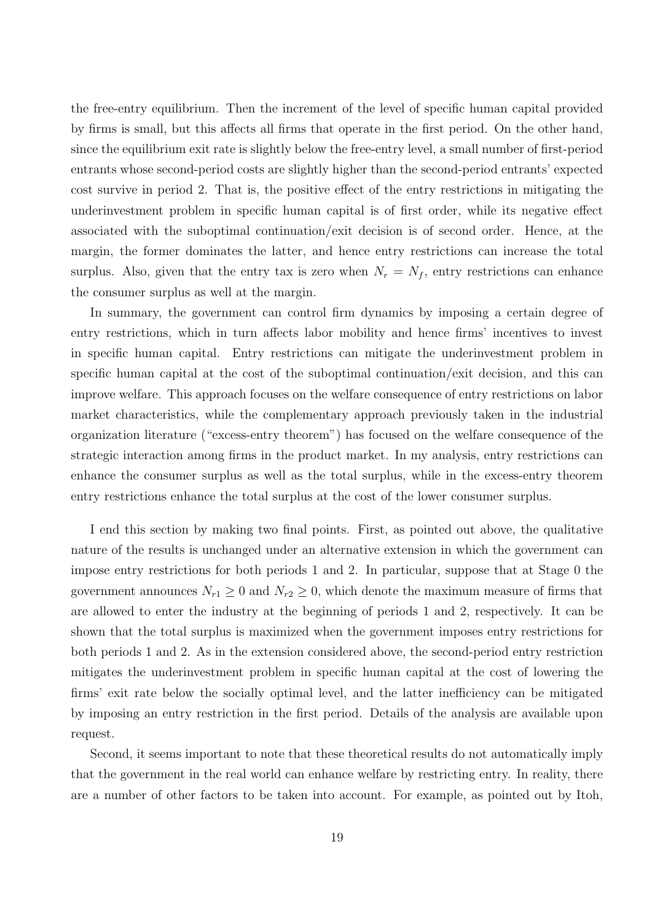the free-entry equilibrium. Then the increment of the level of specific human capital provided by firms is small, but this affects all firms that operate in the first period. On the other hand, since the equilibrium exit rate is slightly below the free-entry level, a small number of first-period entrants whose second-period costs are slightly higher than the second-period entrants' expected cost survive in period 2. That is, the positive effect of the entry restrictions in mitigating the underinvestment problem in specific human capital is of first order, while its negative effect associated with the suboptimal continuation/exit decision is of second order. Hence, at the margin, the former dominates the latter, and hence entry restrictions can increase the total surplus. Also, given that the entry tax is zero when  $N_r = N_f$ , entry restrictions can enhance the consumer surplus as well at the margin.

In summary, the government can control firm dynamics by imposing a certain degree of entry restrictions, which in turn affects labor mobility and hence firms' incentives to invest in specific human capital. Entry restrictions can mitigate the underinvestment problem in specific human capital at the cost of the suboptimal continuation/exit decision, and this can improve welfare. This approach focuses on the welfare consequence of entry restrictions on labor market characteristics, while the complementary approach previously taken in the industrial organization literature ("excess-entry theorem") has focused on the welfare consequence of the strategic interaction among firms in the product market. In my analysis, entry restrictions can enhance the consumer surplus as well as the total surplus, while in the excess-entry theorem entry restrictions enhance the total surplus at the cost of the lower consumer surplus.

I end this section by making two final points. First, as pointed out above, the qualitative nature of the results is unchanged under an alternative extension in which the government can impose entry restrictions for both periods 1 and 2. In particular, suppose that at Stage 0 the government announces  $N_{r1} \geq 0$  and  $N_{r2} \geq 0$ , which denote the maximum measure of firms that are allowed to enter the industry at the beginning of periods 1 and 2, respectively. It can be shown that the total surplus is maximized when the government imposes entry restrictions for both periods 1 and 2. As in the extension considered above, the second-period entry restriction mitigates the underinvestment problem in specific human capital at the cost of lowering the firms' exit rate below the socially optimal level, and the latter inefficiency can be mitigated by imposing an entry restriction in the first period. Details of the analysis are available upon request.

Second, it seems important to note that these theoretical results do not automatically imply that the government in the real world can enhance welfare by restricting entry. In reality, there are a number of other factors to be taken into account. For example, as pointed out by Itoh,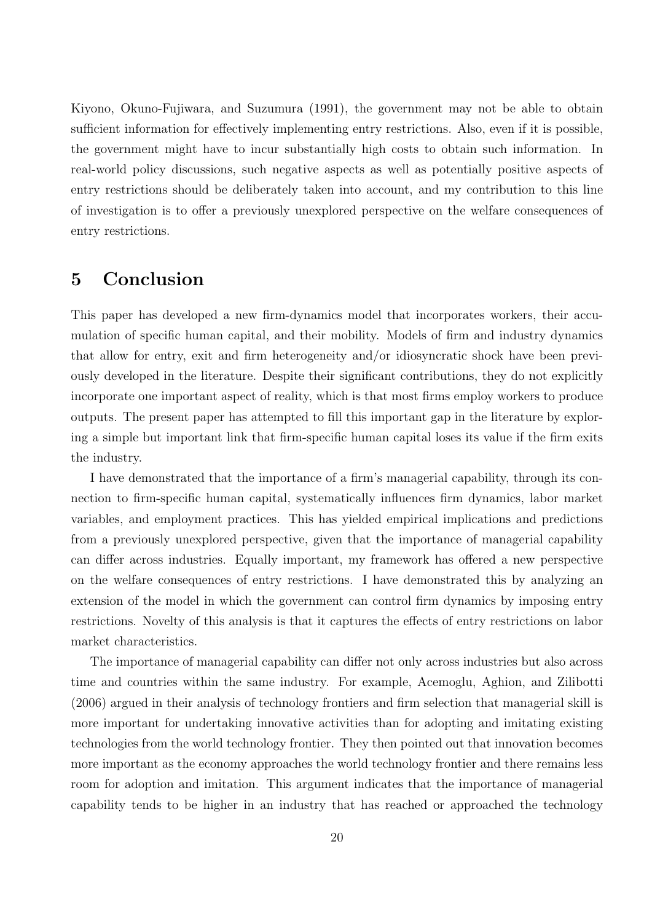Kiyono, Okuno-Fujiwara, and Suzumura (1991), the government may not be able to obtain sufficient information for effectively implementing entry restrictions. Also, even if it is possible, the government might have to incur substantially high costs to obtain such information. In real-world policy discussions, such negative aspects as well as potentially positive aspects of entry restrictions should be deliberately taken into account, and my contribution to this line of investigation is to offer a previously unexplored perspective on the welfare consequences of entry restrictions.

### 5 Conclusion

This paper has developed a new firm-dynamics model that incorporates workers, their accumulation of specific human capital, and their mobility. Models of firm and industry dynamics that allow for entry, exit and firm heterogeneity and/or idiosyncratic shock have been previously developed in the literature. Despite their significant contributions, they do not explicitly incorporate one important aspect of reality, which is that most firms employ workers to produce outputs. The present paper has attempted to fill this important gap in the literature by exploring a simple but important link that firm-specific human capital loses its value if the firm exits the industry.

I have demonstrated that the importance of a firm's managerial capability, through its connection to firm-specific human capital, systematically influences firm dynamics, labor market variables, and employment practices. This has yielded empirical implications and predictions from a previously unexplored perspective, given that the importance of managerial capability can differ across industries. Equally important, my framework has offered a new perspective on the welfare consequences of entry restrictions. I have demonstrated this by analyzing an extension of the model in which the government can control firm dynamics by imposing entry restrictions. Novelty of this analysis is that it captures the effects of entry restrictions on labor market characteristics.

The importance of managerial capability can differ not only across industries but also across time and countries within the same industry. For example, Acemoglu, Aghion, and Zilibotti (2006) argued in their analysis of technology frontiers and firm selection that managerial skill is more important for undertaking innovative activities than for adopting and imitating existing technologies from the world technology frontier. They then pointed out that innovation becomes more important as the economy approaches the world technology frontier and there remains less room for adoption and imitation. This argument indicates that the importance of managerial capability tends to be higher in an industry that has reached or approached the technology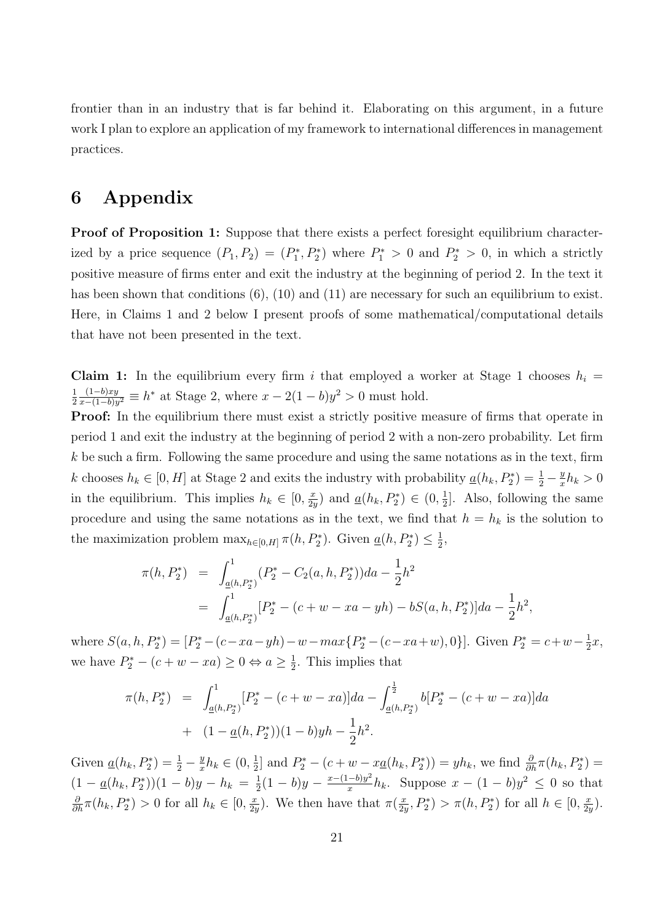frontier than in an industry that is far behind it. Elaborating on this argument, in a future work I plan to explore an application of my framework to international differences in management practices.

# 6 Appendix

Proof of Proposition 1: Suppose that there exists a perfect foresight equilibrium characterized by a price sequence  $(P_1, P_2) = (P_1^*, P_2^*)$  where  $P_1^* > 0$  and  $P_2^* > 0$ , in which a strictly positive measure of firms enter and exit the industry at the beginning of period 2. In the text it has been shown that conditions (6), (10) and (11) are necessary for such an equilibrium to exist. Here, in Claims 1 and 2 below I present proofs of some mathematical/computational details that have not been presented in the text.

Claim 1: In the equilibrium every firm i that employed a worker at Stage 1 chooses  $h_i =$ 1 2  $(1-b)xy$  $\frac{(1-b)xy}{x-(1-b)y^2} \equiv h^*$  at Stage 2, where  $x - 2(1-b)y^2 > 0$  must hold.

**Proof:** In the equilibrium there must exist a strictly positive measure of firms that operate in period 1 and exit the industry at the beginning of period 2 with a non-zero probability. Let firm  $k$  be such a firm. Following the same procedure and using the same notations as in the text, firm k chooses  $h_k \in [0, H]$  at Stage 2 and exits the industry with probability  $\underline{a}(h_k, P_2^*) = \frac{1}{2} - \frac{y}{x}$  $\frac{y}{x}h_k > 0$ in the equilibrium. This implies  $h_k \in [0, \frac{x}{2i}]$  $\frac{x}{2y}$ ) and  $\underline{a}(h_k, P_2^*) \in (0, \frac{1}{2})$  $\frac{1}{2}$ . Also, following the same procedure and using the same notations as in the text, we find that  $h = h_k$  is the solution to the maximization problem  $\max_{h \in [0,H]} \pi(h, P_2^*)$ . Given  $\underline{a}(h, P_2^*) \leq \frac{1}{2}$  $\frac{1}{2}$ 

$$
\pi(h, P_2^*) = \int_{\underline{a}(h, P_2^*)}^{1} (P_2^* - C_2(a, h, P_2^*)) da - \frac{1}{2} h^2
$$
  
= 
$$
\int_{\underline{a}(h, P_2^*)}^{1} [P_2^* - (c + w - xa - yh) - bS(a, h, P_2^*)] da - \frac{1}{2} h^2,
$$

where  $S(a, h, P_2^*) = [P_2^* - (c - xa - yh) - w - max\{P_2^* - (c - xa + w), 0\}]$ . Given  $P_2^* = c + w - \frac{1}{2}$  $rac{1}{2}x,$ we have  $P_2^* - (c + w - xa) \geq 0 \Leftrightarrow a \geq \frac{1}{2}$  $\frac{1}{2}$ . This implies that

$$
\pi(h, P_2^*) = \int_{\underline{a}(h, P_2^*)}^{1} [P_2^* - (c + w - xa)] da - \int_{\underline{a}(h, P_2^*)}^{\frac{1}{2}} b[P_2^* - (c + w - xa)] da
$$
  
+ 
$$
(1 - \underline{a}(h, P_2^*)) (1 - b) y h - \frac{1}{2} h^2.
$$

Given  $\underline{a}(h_k, P_2^*) = \frac{1}{2} - \frac{y}{x}$  $\frac{y}{x}h_k \in (0, \frac{1}{2})$  $\frac{1}{2}$  and  $P_2^* - (c + w - x \underline{a}(h_k, P_2^*)) = yh_k$ , we find  $\frac{\partial}{\partial h} \pi(h_k, P_2^*) =$  $(1 - \underline{a}(h_k, P_2^*))(1 - b)y - h_k = \frac{1}{2}$  $rac{1}{2}(1-b)y - \frac{x-(1-b)y^2}{x}$  $\frac{(-b)y^2}{x}h_k$ . Suppose  $x - (1-b)y^2 \leq 0$  so that  $\frac{\partial}{\partial h}\pi(h_k, P_2^*) > 0$  for all  $h_k \in [0, \frac{x}{2k}]$  $\frac{x}{2y}$ ). We then have that  $\pi(\frac{x}{2y})$  $(\frac{x}{2y}, P_2^*) > \pi(h, P_2^*)$  for all  $h \in [0, \frac{x}{2y}]$  $\frac{x}{2y}$ .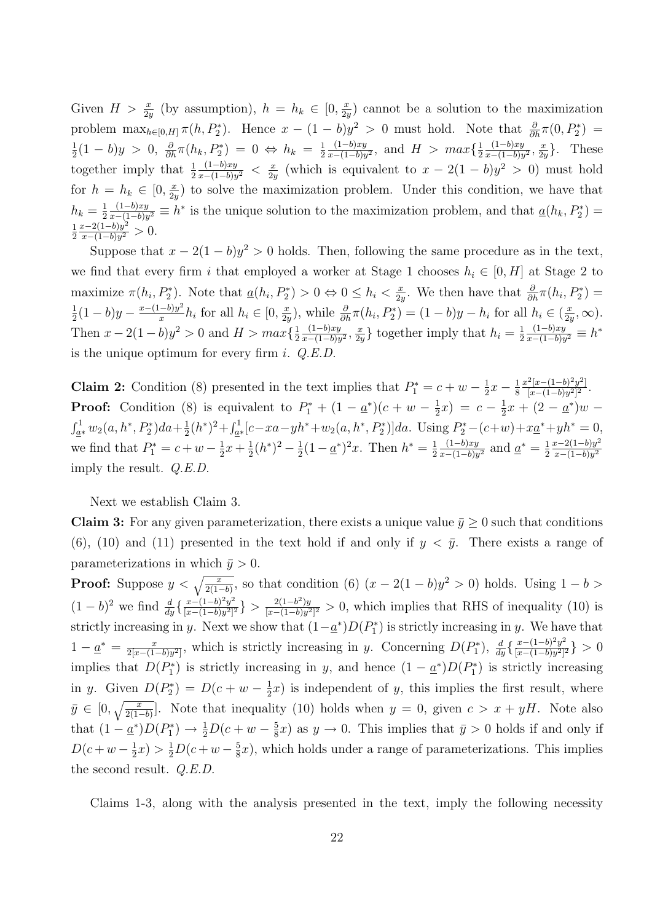Given  $H > \frac{x}{2y}$  (by assumption),  $h = h_k \in [0, \frac{x}{2y}]$  $\frac{x}{2y}$  cannot be a solution to the maximization problem  $\max_{h\in[0,H]}\pi(h, P_2^*)$ . Hence  $x-(1-b)y^2>0$  must hold. Note that  $\frac{\partial}{\partial h}\pi(0, P_2^*)=$ 1  $\frac{1}{2}(1-b)y > 0, \frac{\partial}{\partial h}\pi(h_k, P_2^*) = 0 \Leftrightarrow h_k = \frac{1}{2}$ 2  $(1-b)xy$  $\frac{(1-b)xy}{x-(1-b)y^2}$ , and  $H > max\{\frac{1}{2}$ 2  $(1-b)xy$  $\frac{(1-b)xy}{x-(1-b)y^2}, \frac{x}{2y}$  $\frac{x}{2y}$ . These together imply that  $\frac{1}{2}$  $(1-b)xy$  $\frac{(1-b)xy}{x-(1-b)y^2} < \frac{x}{2y}$  $\frac{x}{2y}$  (which is equivalent to  $x - 2(1 - b)y^2 > 0$ ) must hold for  $h = h_k \in [0, \frac{x}{2i}]$  $\frac{x}{2y}$  to solve the maximization problem. Under this condition, we have that  $h_k=\frac{1}{2}$ 2  $(1-b)xy$  $\frac{(1-b)xy}{x-(1-b)y^2} \equiv h^*$  is the unique solution to the maximization problem, and that  $\underline{a}(h_k, P_2^*) =$ 1 2  $x-2(1-b)y^2$  $\frac{x-2(1-b)y^2}{x-(1-b)y^2} > 0.$ 

Suppose that  $x - 2(1 - b)y^2 > 0$  holds. Then, following the same procedure as in the text, we find that every firm i that employed a worker at Stage 1 chooses  $h_i \in [0, H]$  at Stage 2 to maximize  $\pi(h_i, P_2^*)$ . Note that  $\underline{a}(h_i, P_2^*) > 0 \Leftrightarrow 0 \leq h_i < \frac{x}{2i}$  $\frac{x}{2y}$ . We then have that  $\frac{\partial}{\partial h}\pi(h_i, P_2^*) =$ 1  $rac{1}{2}(1-b)y - \frac{x-(1-b)y^2}{x}$  $\frac{(-b)y^2}{x}h_i$  for all  $h_i \in [0, \frac{x}{2y}]$  $(\frac{x}{2y})$ , while  $\frac{\partial}{\partial h}\pi(h_i, P_2^*) = (1-b)y - h_i$  for all  $h_i \in (\frac{x}{2y})$  $\frac{x}{2y}, \infty$ ). Then  $x - 2(1 - b)y^2 > 0$  and  $H > max\{\frac{1}{2}$ 2  $(1-b)xy$  $\frac{(1-b)xy}{x-(1-b)y^2}, \frac{x}{2y}$  $\frac{x}{2y}$  together imply that  $h_i = \frac{1}{2}$ 2  $(1-b)xy$  $\frac{(1-b)xy}{x-(1-b)y^2} \equiv h^*$ is the unique optimum for every firm i.  $Q.E.D$ .

**Claim 2:** Condition (8) presented in the text implies that  $P_1^* = c + w - \frac{1}{2}$  $rac{1}{2}x - \frac{1}{8}$ 8  $x^2[x-(1-b)^2y^2]$  $\frac{x^2[x-(1-b)^2y^2]}{[x-(1-b)y^2]^2}.$ **Proof:** Condition (8) is equivalent to  $P_1^* + (1 - \underline{a}^*)(c + w - \frac{1}{2})$  $(\frac{1}{2}x) = c - \frac{1}{2}$  $\frac{1}{2}x + (2 - \underline{a}^*)w \int_{a^*}^1 w_2(a, h^*, P_2^*) da + \frac{1}{2}$  $\frac{1}{2}(h^*)^2 + \int_{\underline{a}^*}^1 [c - xa - yh^* + w_2(a, h^*, P_2^*)] da$ . Using  $P_2^* - (c+w) + x\underline{a}^* + yh^* = 0$ , we find that  $P_1^* = c + w - \frac{1}{2}$  $rac{1}{2}x + \frac{1}{2}$  $\frac{1}{2}(h^*)^2 - \frac{1}{2}$  $\frac{1}{2}(1-\underline{a}^*)^2x$ . Then  $h^*=\frac{1}{2}$ 2  $(1-b)xy$  $\frac{(1-b)xy}{x-(1-b)y^2}$  and  $\underline{a}^* = \frac{1}{2}$ 2  $x-2(1-b)y^2$  $x-(1-b)y^2$ imply the result. Q.E.D.

Next we establish Claim 3.

**Claim 3:** For any given parameterization, there exists a unique value  $\bar{y} \geq 0$  such that conditions (6), (10) and (11) presented in the text hold if and only if  $y < \bar{y}$ . There exists a range of parameterizations in which  $\bar{y} > 0$ .

**Proof:** Suppose  $y < \sqrt{\frac{x}{2(1-b)}}$ , so that condition (6)  $(x - 2(1-b)y^2 > 0)$  holds. Using  $1-b >$  $(1-b)^2$  we find  $\frac{d}{dy} \left\{ \frac{x-(1-b)^2y^2}{[x-(1-b)y^2]^2} \right\}$  $\frac{x-(1-b)^2y^2}{[x-(1-b)y^2]^2}$  >  $\frac{2(1-b^2)y}{[x-(1-b)y^2]}$  $\frac{2(1-b^2)y}{[x-(1-b)y^2]^2} > 0$ , which implies that RHS of inequality (10) is strictly increasing in y. Next we show that  $(1-\underline{a}^*)D(P_1^*)$  is strictly increasing in y. We have that  $1 - \underline{a}^* = \frac{x}{2[x-(1-x)]}$  $\frac{x}{2[x-(1-b)y^2]}$ , which is strictly increasing in y. Concerning  $D(P_1^*)$ ,  $\frac{d}{dy}\left\{\frac{x-(1-b)^2y^2}{[x-(1-b)y^2]} \right\}$  $\frac{x-(1-b)^2y^2}{[x-(1-b)y^2]^2}$ } > 0 implies that  $D(P_1^*)$  is strictly increasing in y, and hence  $(1 - \underline{a}^*)D(P_1^*)$  is strictly increasing in *y*. Given  $D(P_2^*) = D(c + w - \frac{1}{2})$  $\frac{1}{2}x$ ) is independent of y, this implies the first result, where  $\bar{y} \in [0, \sqrt{\frac{x}{2(1-b)}}]$ . Note that inequality (10) holds when  $y = 0$ , given  $c > x + yH$ . Note also that  $(1 - \underline{a}^*)D(P_1^*) \rightarrow \frac{1}{2}D(c+w-\frac{5}{8})$  $(\frac{5}{8}x)$  as  $y \to 0$ . This implies that  $\bar{y} > 0$  holds if and only if  $D(c+w-\frac{1}{2})$  $(\frac{1}{2}x) > \frac{1}{2}D(c+w-\frac{5}{8})$  $(\frac{5}{8}x)$ , which holds under a range of parameterizations. This implies the second result. Q.E.D.

Claims 1-3, along with the analysis presented in the text, imply the following necessity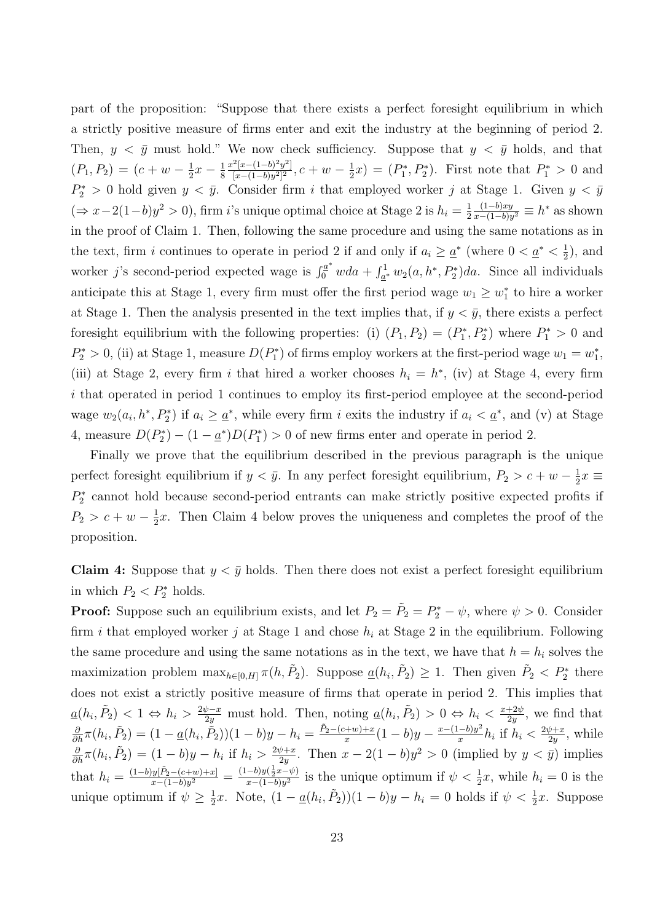part of the proposition: "Suppose that there exists a perfect foresight equilibrium in which a strictly positive measure of firms enter and exit the industry at the beginning of period 2. Then,  $y < \bar{y}$  must hold." We now check sufficiency. Suppose that  $y < \bar{y}$  holds, and that  $(P_1, P_2) = (c + w - \frac{1}{2})$  $rac{1}{2}x - \frac{1}{8}$ 8  $x^2[x-(1-b)^2y^2]$  $\frac{[x-(1-b)^2y^2]}{[x-(1-b)y^2]^2}$ ,  $c+w-\frac{1}{2}$  $(\frac{1}{2}x) = (P_1^*, P_2^*)$ . First note that  $P_1^* > 0$  and  $P_2^* > 0$  hold given  $y < \bar{y}$ . Consider firm i that employed worker j at Stage 1. Given  $y < \bar{y}$  $(\Rightarrow x-2(1-b)y^2 > 0)$ , firm i's unique optimal choice at Stage 2 is  $h_i = \frac{1}{2}$ 2  $(1-b)xy$  $\frac{(1-b)xy}{x-(1-b)y^2} \equiv h^*$  as shown in the proof of Claim 1. Then, following the same procedure and using the same notations as in the text, firm i continues to operate in period 2 if and only if  $a_i \geq \underline{a}^*$  (where  $0 < \underline{a}^* < \frac{1}{2}$ )  $(\frac{1}{2})$ , and worker j's second-period expected wage is  $\int_0^{a^*} w da + \int_{a^*}^1 w_2(a, h^*, P_2^*) da$ . Since all individuals anticipate this at Stage 1, every firm must offer the first period wage  $w_1 \geq w_1^*$  to hire a worker at Stage 1. Then the analysis presented in the text implies that, if  $y < \bar{y}$ , there exists a perfect foresight equilibrium with the following properties: (i)  $(P_1, P_2) = (P_1^*, P_2^*)$  where  $P_1^* > 0$  and  $P_2^* > 0$ , (ii) at Stage 1, measure  $D(P_1^*)$  of firms employ workers at the first-period wage  $w_1 = w_1^*$ , (iii) at Stage 2, every firm i that hired a worker chooses  $h_i = h^*$ , (iv) at Stage 4, every firm i that operated in period 1 continues to employ its first-period employee at the second-period wage  $w_2(a_i, h^*, P_2^*)$  if  $a_i \geq \underline{a}^*$ , while every firm i exits the industry if  $a_i < \underline{a}^*$ , and (v) at Stage 4, measure  $D(P_2^*) - (1 - \underline{a}^*) D(P_1^*) > 0$  of new firms enter and operate in period 2.

Finally we prove that the equilibrium described in the previous paragraph is the unique perfect foresight equilibrium if  $y < \bar{y}$ . In any perfect foresight equilibrium,  $P_2 > c + w - \frac{1}{2}$  $\frac{1}{2}x \equiv$  $P_2^*$  cannot hold because second-period entrants can make strictly positive expected profits if  $P_2 > c + w - \frac{1}{2}$  $\frac{1}{2}x$ . Then Claim 4 below proves the uniqueness and completes the proof of the proposition.

**Claim 4:** Suppose that  $y < \bar{y}$  holds. Then there does not exist a perfect foresight equilibrium in which  $P_2 < P_2^*$  holds.

**Proof:** Suppose such an equilibrium exists, and let  $P_2 = \tilde{P}_2 = P_2^* - \psi$ , where  $\psi > 0$ . Consider firm *i* that employed worker *j* at Stage 1 and chose  $h_i$  at Stage 2 in the equilibrium. Following the same procedure and using the same notations as in the text, we have that  $h = h_i$  solves the maximization problem  $\max_{h \in [0,H]} \pi(h, \tilde{P}_2)$ . Suppose  $\underline{a}(h_i, \tilde{P}_2) \geq 1$ . Then given  $\tilde{P}_2 < P_2^*$  there does not exist a strictly positive measure of firms that operate in period 2. This implies that  $\underline{a}(h_i, \tilde{P}_2) < 1 \Leftrightarrow h_i > \frac{2\psi - x}{2y}$  must hold. Then, noting  $\underline{a}(h_i, \tilde{P}_2) > 0 \Leftrightarrow h_i < \frac{x + 2\psi}{2y}$  $rac{+2\psi}{2y}$ , we find that  $\frac{\partial}{\partial h}\pi(h_i, \tilde{P}_2) = (1 - \underline{a}(h_i, \tilde{\tilde{P}}_2))(1 - b)y - h_i = \frac{\tilde{P}_2 - (c + w) + x}{x}$  $rac{(x+w)+x}{x}(1-b)y - \frac{x-(1-b)y^2}{x}$  $\frac{(-b)y^2}{x}h_i$  if  $h_i < \frac{2\psi + x}{2y}$  $rac{\psi+x}{2y}$ , while  $\frac{\partial}{\partial h}\pi(h_i,\tilde{P}_2) = (1-b)y - h_i$  if  $h_i > \frac{2\psi + x}{2y}$  $\frac{\psi+x}{2y}$ . Then  $x-2(1-b)y^2>0$  (implied by  $y<\bar{y}$ ) implies that  $h_i = \frac{(1-b)y[\tilde{P}_2-(c+w)+x]}{x-(1-b)y^2}$  $\frac{y[\tilde{P}_2-(c+w)+x]}{x-(1-b)y^2} = \frac{(1-b)y(\frac{1}{2}x-\psi)}{x-(1-b)y^2}$  $\frac{-b}{y}(\frac{1}{2}x-\psi)}{x-(1-b)y^2}$  is the unique optimum if  $\psi < \frac{1}{2}x$ , while  $h_i = 0$  is the unique optimum if  $\psi \geq \frac{1}{2}$  $\frac{1}{2}x$ . Note,  $(1 - \underline{a}(h_i, \tilde{P}_2))(1 - b)y - h_i = 0$  holds if  $\psi < \frac{1}{2}x$ . Suppose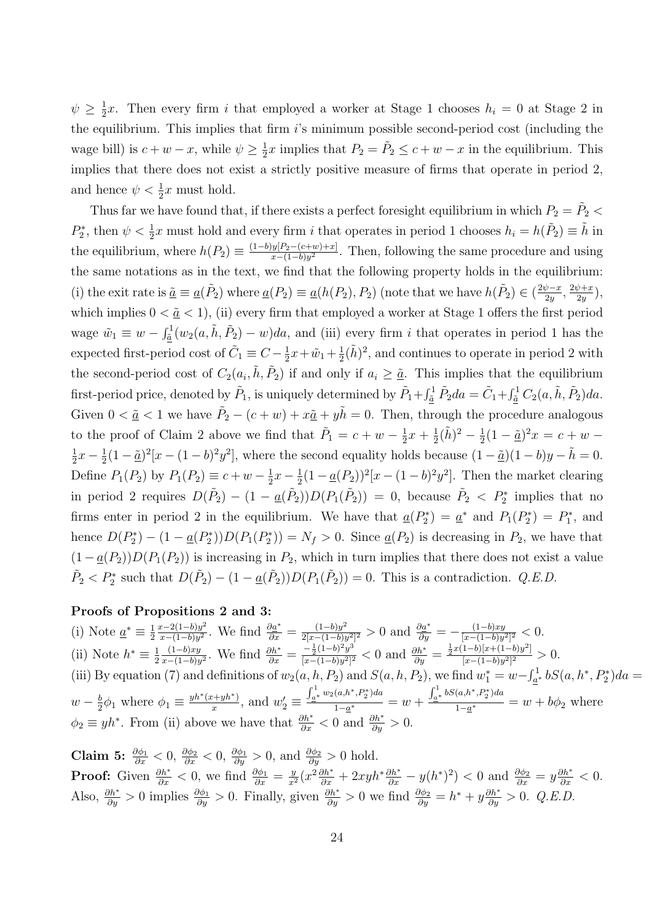$\psi \geq \frac{1}{2}$  $\frac{1}{2}x$ . Then every firm *i* that employed a worker at Stage 1 chooses  $h_i = 0$  at Stage 2 in the equilibrium. This implies that firm  $i$ 's minimum possible second-period cost (including the wage bill) is  $c + w - x$ , while  $\psi \geq \frac{1}{2}$  $\frac{1}{2}x$  implies that  $P_2 = \tilde{P}_2 \leq c + w - x$  in the equilibrium. This implies that there does not exist a strictly positive measure of firms that operate in period 2, and hence  $\psi < \frac{1}{2}x$  must hold.

Thus far we have found that, if there exists a perfect foresight equilibrium in which  $P_2 = \tilde{P}_2$  <  $P_2^*$ , then  $\psi < \frac{1}{2}x$  must hold and every firm i that operates in period 1 chooses  $h_i = h(\tilde{P}_2) \equiv \tilde{h}$  in the equilibrium, where  $h(P_2) \equiv \frac{(1-b)y[P_2-(c+w)+x]}{x-(1-b)y^2}$  $\frac{y_1}{x-(1-b)y^2}$ . Then, following the same procedure and using the same notations as in the text, we find that the following property holds in the equilibrium: (i) the exit rate is  $\tilde{\underline{a}} \equiv \underline{a}(\tilde{P}_2)$  where  $\underline{a}(P_2) \equiv \underline{a}(h(P_2), P_2)$  (note that we have  $h(\tilde{P}_2) \in (\frac{2\psi - x}{2\psi})$  $rac{\psi-x}{2y}, \frac{2\psi+x}{2y}$  $\frac{\psi+x}{2y}\big),$ which implies  $0 < \underline{\tilde{a}} < 1$ , (ii) every firm that employed a worker at Stage 1 offers the first period wage  $\tilde{w}_1 \equiv w - \int_{\tilde{a}}^1 (w_2(a, \tilde{h}, \tilde{P}_2) - w) da$ , and (iii) every firm *i* that operates in period 1 has the expected first-period cost of  $\tilde{C}_1 \equiv C - \frac{1}{2}$  $\frac{1}{2}x + \tilde{w}_1 + \frac{1}{2}$  $\frac{1}{2}(\tilde{h})^2$ , and continues to operate in period 2 with the second-period cost of  $C_2(a_i, \tilde{h}, \tilde{P}_2)$  if and only if  $a_i \geq \tilde{a}$ . This implies that the equilibrium first-period price, denoted by  $\tilde{P}_1$ , is uniquely determined by  $\tilde{P}_1 + \int_{\tilde{a}}^1 \tilde{P}_2 da = \tilde{C}_1 + \int_{\tilde{a}}^1 C_2(a, \tilde{h}, \tilde{P}_2) da$ . Given  $0 < \underline{\tilde{a}} < 1$  we have  $\tilde{P}_2 - (c + w) + x \underline{\tilde{a}} + y \tilde{h} = 0$ . Then, through the procedure analogous to the proof of Claim 2 above we find that  $\tilde{P}_1 = c + w - \frac{1}{2}$  $rac{1}{2}x + \frac{1}{2}$  $\frac{1}{2}(\tilde{h})^2 - \frac{1}{2}$  $\frac{1}{2}(1 - \tilde{a})^2 x = c + w -$ 1  $rac{1}{2}x - \frac{1}{2}$  $\frac{1}{2}(1-\tilde{a})^2[x-(1-b)^2y^2]$ , where the second equality holds because  $(1-\tilde{a})(1-b)y - \tilde{h} = 0$ . Define  $P_1(P_2)$  by  $P_1(P_2) \equiv c + w - \frac{1}{2}$  $rac{1}{2}x - \frac{1}{2}$  $\frac{1}{2}(1 - \underline{a}(P_2))^2 [x - (1 - b)^2 y^2]$ . Then the market clearing in period 2 requires  $D(\tilde{P}_2) - (1 - \underline{a}(\tilde{P}_2))D(P_1(\tilde{P}_2)) = 0$ , because  $\tilde{P}_2 < P_2^*$  implies that no firms enter in period 2 in the equilibrium. We have that  $\underline{a}(P_2^*) = \underline{a}^*$  and  $P_1(P_2^*) = P_1^*$ , and hence  $D(P_2^*) - (1 - \underline{a}(P_2^*))D(P_1(P_2^*)) = N_f > 0$ . Since  $\underline{a}(P_2)$  is decreasing in  $P_2$ , we have that  $(1 - \underline{a}(P_2))D(P_1(P_2))$  is increasing in  $P_2$ , which in turn implies that there does not exist a value  $\tilde{P}_2 < P_2^*$  such that  $D(\tilde{P}_2) - (1 - \underline{a}(\tilde{P}_2))D(P_1(\tilde{P}_2)) = 0$ . This is a contradiction. *Q.E.D.* 

#### Proofs of Propositions 2 and 3:

(i) Note  $\underline{a}^* \equiv \frac{1}{2}$ 2  $x-2(1-b)y^2$  $\frac{x-2(1-b)y^2}{x-(1-b)y^2}$ . We find  $\frac{\partial a^*}{\partial x} = \frac{(1-b)y^2}{2[x-(1-b)y^2]}$  $\frac{(1-b)y^2}{2[x-(1-b)y^2]^2} > 0$  and  $\frac{\partial \underline{a}^*}{\partial y} = -\frac{(1-b)xy}{[x-(1-b)y]}$  $\frac{(1-b)xy}{[x-(1-b)y^2]^2} < 0.$ (ii) Note  $h^* \equiv \frac{1}{2}$ 2  $(1-b)xy$  $\frac{(1-b)xy}{x-(1-b)y^2}$ . We find  $\frac{\partial h^*}{\partial x} = \frac{-\frac{1}{2}(1-b)^2y^3}{[x-(1-b)y^2]^2}$  $\frac{-\frac{1}{2}(1-b)^2y^3}{[x-(1-b)y^2]^2} < 0$  and  $\frac{\partial h^*}{\partial y} = \frac{\frac{1}{2}x(1-b)[x+(1-b)y^2]}{[x-(1-b)y^2]^2}$  $\frac{\frac{1-\nu}{|x-(1-b)y^2|^2}}{[x-(1-b)y^2]^2} > 0.$ (iii) By equation (7) and definitions of  $w_2(a, h, P_2)$  and  $S(a, h, P_2)$ , we find  $w_1^* = w - \int_{a^*}^1 bS(a, h^*, P_2^*)da =$  $w-\frac{b}{2}$  $\frac{b}{2}\phi_1$  where  $\phi_1 \equiv \frac{y h^*(x+y h^*)}{x}$  $\frac{x+yh^*}{x}$ , and  $w'_2 \equiv$  $\int_{a^*}^{1} w_2(a, h^*, P_2^*) da$  $\frac{(x+y+1)(y+y)}{1-a^*} = w +$  $\int_{a^*}^{1} bS(a, h^*, P_2^*)da$  $\frac{1-a^*}{1-a^*} = w + b\phi_2$  where  $\phi_2 \equiv yh^*$ . From (ii) above we have that  $\frac{\partial h^*}{\partial x} < 0$  and  $\frac{\partial h^*}{\partial y} > 0$ .

**Claim 5:**  $\frac{\partial \phi_1}{\partial x} < 0$ ,  $\frac{\partial \phi_2}{\partial x} < 0$ ,  $\frac{\partial \phi_1}{\partial y} > 0$ , and  $\frac{\partial \phi_2}{\partial y} > 0$  hold. **Proof:** Given  $\frac{\partial h^*}{\partial x} < 0$ , we find  $\frac{\partial \phi_1}{\partial x} = \frac{y}{x^2} (x^2 \frac{\partial h^*}{\partial x} + 2xyh^* \frac{\partial h^*}{\partial x} - y(h^*)^2) < 0$  and  $\frac{\partial \phi_2}{\partial x} = y \frac{\partial h^*}{\partial x} < 0$ . Also,  $\frac{\partial h^*}{\partial y} > 0$  implies  $\frac{\partial \phi_1}{\partial y} > 0$ . Finally, given  $\frac{\partial h^*}{\partial y} > 0$  we find  $\frac{\partial \phi_2}{\partial y} = h^* + y \frac{\partial h^*}{\partial y} > 0$ . Q.E.D.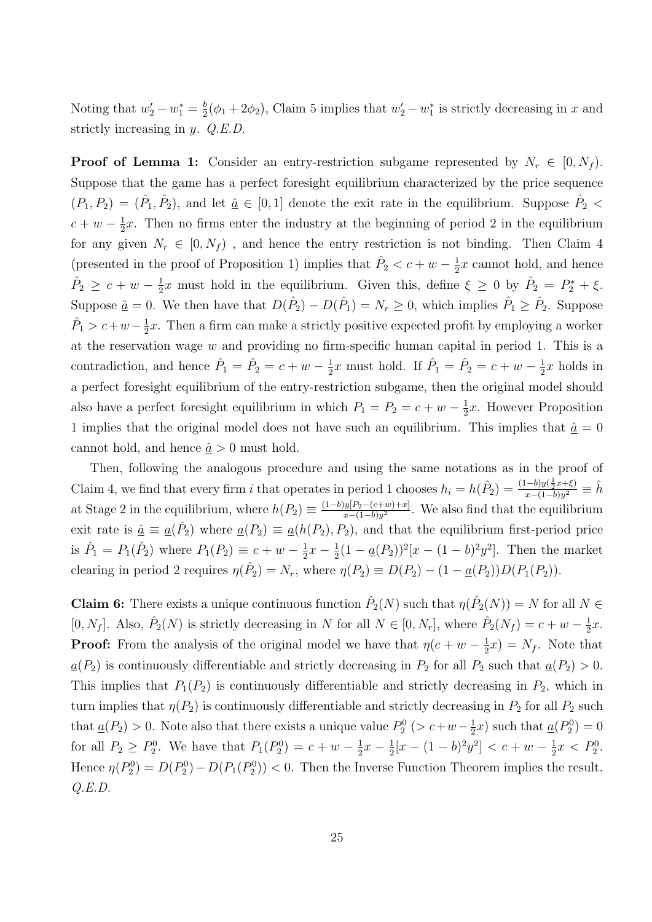Noting that  $w_2' - w_1^* = \frac{b}{2}$  $\frac{b}{2}(\phi_1 + 2\phi_2)$ , Claim 5 implies that  $w_2' - w_1^*$  is strictly decreasing in x and strictly increasing in y. Q.E.D.

**Proof of Lemma 1:** Consider an entry-restriction subgame represented by  $N_r \in [0, N_f)$ . Suppose that the game has a perfect foresight equilibrium characterized by the price sequence  $(P_1, P_2) = (\hat{P}_1, \hat{P}_2)$ , and let  $\hat{a} \in [0, 1]$  denote the exit rate in the equilibrium. Suppose  $\hat{P}_2$  <  $c + w - \frac{1}{2}$  $\frac{1}{2}x$ . Then no firms enter the industry at the beginning of period 2 in the equilibrium for any given  $N_r \in [0, N_f)$ , and hence the entry restriction is not binding. Then Claim 4 (presented in the proof of Proposition 1) implies that  $\hat{P}_2 < c + w - \frac{1}{2}$  $\frac{1}{2}x$  cannot hold, and hence  $\hat{P}_2 \geq c + w - \frac{1}{2}$  $\frac{1}{2}x$  must hold in the equilibrium. Given this, define  $\xi \geq 0$  by  $\hat{P}_2 = P_2^* + \xi$ . Suppose  $\hat{a} = 0$ . We then have that  $D(\hat{P}_2) - D(\hat{P}_1) = N_r \ge 0$ , which implies  $\hat{P}_1 \ge \hat{P}_2$ . Suppose  $\hat{P}_1 > c+w-\frac{1}{2}$  $\frac{1}{2}x$ . Then a firm can make a strictly positive expected profit by employing a worker at the reservation wage  $w$  and providing no firm-specific human capital in period 1. This is a contradiction, and hence  $\hat{P}_1 = \hat{P}_2 = c + w - \frac{1}{2}$  $\frac{1}{2}x$  must hold. If  $\hat{P}_1 = \hat{P}_2 = c + w - \frac{1}{2}$  $\frac{1}{2}x$  holds in a perfect foresight equilibrium of the entry-restriction subgame, then the original model should also have a perfect foresight equilibrium in which  $P_1 = P_2 = c + w - \frac{1}{2}$  $\frac{1}{2}x$ . However Proposition 1 implies that the original model does not have such an equilibrium. This implies that  $\hat{a} = 0$ cannot hold, and hence  $\hat{a} > 0$  must hold.

Then, following the analogous procedure and using the same notations as in the proof of Claim 4, we find that every firm i that operates in period 1 chooses  $h_i = h(\hat{P}_2) = \frac{(1-b)y(\frac{1}{2}x+\xi)}{x-(1-b)y^2}$  $\frac{(1-b)y(\frac{1}{2}x+\xi)}{x-(1-b)y^2} \equiv \hat{h}$ at Stage 2 in the equilibrium, where  $h(P_2) \equiv \frac{(1-b)y[P_2-(c+w)+x]}{x-(1-b)y^2}$  $\frac{y_1}{x-(1-b)y^2}$ . We also find that the equilibrium exit rate is  $\hat{a} \equiv \underline{a}(\hat{P}_2)$  where  $\underline{a}(P_2) \equiv \underline{a}(h(P_2), P_2)$ , and that the equilibrium first-period price is  $\hat{P}_1 = P_1(\hat{P}_2)$  where  $P_1(P_2) \equiv c + w - \frac{1}{2}$  $rac{1}{2}x - \frac{1}{2}$  $\frac{1}{2}(1 - \underline{a}(P_2))^2[x - (1 - b)^2 y^2]$ . Then the market clearing in period 2 requires  $\eta(\hat{P}_2) = N_r$ , where  $\eta(P_2) \equiv D(P_2) - (1 - \underline{a}(P_2))D(P_1(P_2))$ .

**Claim 6:** There exists a unique continuous function  $\hat{P}_2(N)$  such that  $\eta(\hat{P}_2(N)) = N$  for all  $N \in$ [0, N<sub>f</sub>]. Also,  $\hat{P}_2(N)$  is strictly decreasing in N for all  $N \in [0, N_r]$ , where  $\hat{P}_2(N_f) = c + w - \frac{1}{2}$  $rac{1}{2}x$ . **Proof:** From the analysis of the original model we have that  $\eta(c+w-\frac{1}{2})$  $(\frac{1}{2}x) = N_f$ . Note that  $a(P_2)$  is continuously differentiable and strictly decreasing in  $P_2$  for all  $P_2$  such that  $a(P_2) > 0$ . This implies that  $P_1(P_2)$  is continuously differentiable and strictly decreasing in  $P_2$ , which in turn implies that  $\eta(P_2)$  is continuously differentiable and strictly decreasing in  $P_2$  for all  $P_2$  such that  $\underline{a}(P_2) > 0$ . Note also that there exists a unique value  $P_2^0$  (>  $c + w - \frac{1}{2}$  $(\frac{1}{2}x)$  such that  $\underline{a}(P_2^0) = 0$ for all  $P_2 \ge P_2^0$ . We have that  $P_1(P_2^0) = c + w - \frac{1}{2}$  $rac{1}{2}x - \frac{1}{2}$  $\frac{1}{2}[x-(1-b)^2y^2] < c+w-\frac{1}{2}$  $\frac{1}{2}x < P_2^0$ . Hence  $\eta(P_2^0) = D(P_2^0) - D(P_1(P_2^0)) < 0$ . Then the Inverse Function Theorem implies the result. Q.E.D.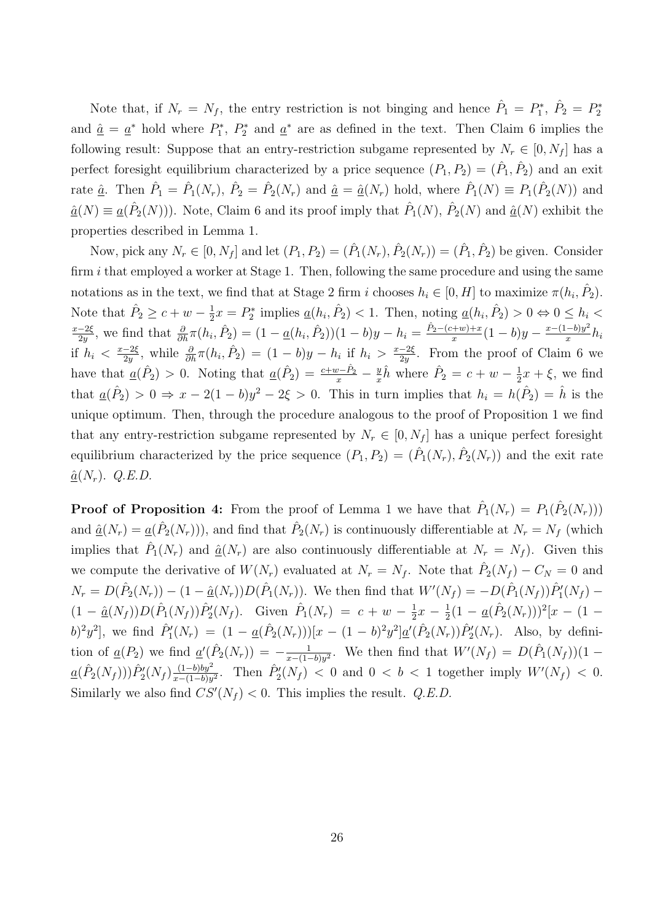Note that, if  $N_r = N_f$ , the entry restriction is not binging and hence  $\hat{P}_1 = P_1^*, \ \hat{P}_2 = P_2^*$ and  $\hat{\underline{a}} = \underline{a}^*$  hold where  $P_1^*, P_2^*$  and  $\underline{a}^*$  are as defined in the text. Then Claim 6 implies the following result: Suppose that an entry-restriction subgame represented by  $N_r \in [0, N_f]$  has a perfect foresight equilibrium characterized by a price sequence  $(P_1, P_2) = (\hat{P}_1, \hat{P}_2)$  and an exit rate  $\underline{\hat{a}}$ . Then  $\hat{P}_1 = \hat{P}_1(N_r)$ ,  $\hat{P}_2 = \hat{P}_2(N_r)$  and  $\underline{\hat{a}} = \underline{\hat{a}}(N_r)$  hold, where  $\hat{P}_1(N) \equiv P_1(\hat{P}_2(N))$  and  $\underline{\hat{a}}(N) \equiv \underline{a}(\hat{P}_2(N))$ . Note, Claim 6 and its proof imply that  $\hat{P}_1(N)$ ,  $\hat{P}_2(N)$  and  $\underline{\hat{a}}(N)$  exhibit the properties described in Lemma 1.

Now, pick any  $N_r \in [0, N_f]$  and let  $(P_1, P_2) = (\hat{P}_1(N_r), \hat{P}_2(N_r)) = (\hat{P}_1, \hat{P}_2)$  be given. Consider firm  $i$  that employed a worker at Stage 1. Then, following the same procedure and using the same notations as in the text, we find that at Stage 2 firm i chooses  $h_i \in [0, H]$  to maximize  $\pi(h_i, \hat{P}_2)$ . Note that  $\hat{P}_2 \geq c + w - \frac{1}{2}$  $\frac{1}{2}x = P_2^*$  implies  $\underline{a}(h_i, \hat{P}_2) < 1$ . Then, noting  $\underline{a}(h_i, \hat{P}_2) > 0 \Leftrightarrow 0 \le h_i <$  $x-2\xi$  $\frac{-2\xi}{2y}$ , we find that  $\frac{\partial}{\partial h}\pi(h_i, \hat{P}_2) = (1 - \underline{a}(h_i, \hat{P}_2))(1 - b)y - h_i = \frac{\hat{P}_2 - (c+w) + x}{x}$  $rac{(x+w)+x}{x}(1-b)y - \frac{x-(1-b)y^2}{x}$  $rac{-b)y^2}{x}h_i$ if  $h_i < \frac{x-2\xi}{2y}$  $\frac{-2\xi}{2y}$ , while  $\frac{\partial}{\partial h}\pi(h_i, \hat{P}_2) = (1-b)y - h_i$  if  $h_i > \frac{x-2\xi}{2y}$  $\frac{-2\xi}{2y}$ . From the proof of Claim 6 we have that  $\underline{a}(\hat{P}_2) > 0$ . Noting that  $\underline{a}(\hat{P}_2) = \frac{c+w-\hat{P}_2}{x} - \frac{y}{x}$  $\frac{y}{x}\hat{h}$  where  $\hat{P}_2 = c + w - \frac{1}{2}$  $\frac{1}{2}x + \xi$ , we find that  $\underline{a}(\hat{P}_2) > 0 \Rightarrow x - 2(1 - b)y^2 - 2\xi > 0$ . This in turn implies that  $h_i = h(\hat{P}_2) = \hat{h}$  is the unique optimum. Then, through the procedure analogous to the proof of Proposition 1 we find that any entry-restriction subgame represented by  $N_r \in [0, N_f]$  has a unique perfect foresight equilibrium characterized by the price sequence  $(P_1, P_2) = (\hat{P}_1(N_r), \hat{P}_2(N_r))$  and the exit rate  $\hat{\underline{a}}(N_r)$ . Q.E.D.

**Proof of Proposition 4:** From the proof of Lemma 1 we have that  $\hat{P}_1(N_r) = P_1(\hat{P}_2(N_r))$ and  $\underline{\hat{a}}(N_r) = \underline{a}(\hat{P}_2(N_r))$ , and find that  $\hat{P}_2(N_r)$  is continuously differentiable at  $N_r = N_f$  (which implies that  $\hat{P}_1(N_r)$  and  $\hat{a}(N_r)$  are also continuously differentiable at  $N_r = N_f$ ). Given this we compute the derivative of  $W(N_r)$  evaluated at  $N_r = N_f$ . Note that  $\hat{P}_2(N_f) - C_N = 0$  and  $N_r = D(\hat{P}_2(N_r)) - (1 - \hat{a}(N_r))D(\hat{P}_1(N_r)).$  We then find that  $W'(N_f) = -D(\hat{P}_1(N_f))\hat{P}'_1(N_f)$  $(1 - \hat{a}(N_f))D(\hat{P}_1(N_f))\hat{P}_2'(N_f)$ . Given  $\hat{P}_1(N_r) = c + w - \frac{1}{2}$  $\frac{1}{2}x - \frac{1}{2}$  $\frac{1}{2}(1 - \underline{a}(\hat{P}_2(N_r)))^2[x - (1$ b)<sup>2</sup>y<sup>2</sup>], we find  $\hat{P}'_1(N_r) = (1 - \underline{a}(\hat{P}_2(N_r)))[x - (1 - b)^2 y^2] \underline{a}'(\hat{P}_2(N_r)) \hat{P}'_2(N_r)$ . Also, by definition of  $\underline{a}(P_2)$  we find  $\underline{a}'(\hat{P}_2(N_r)) = -\frac{1}{r-1}$  $\frac{1}{x-(1-b)y^2}$ . We then find that  $W'(N_f) = D(\hat{P}_1(N_f))(1-\hat{P}_2(N_f))$  $\underline{a}(\hat{P}_2(N_f)))\hat{P}_2'(N_f)\frac{(1-b)by^2}{x-(1-b)y}$  $\frac{(1-b)by^2}{x-(1-b)y^2}$ . Then  $\hat{P}_2'(N_f) < 0$  and  $0 < b < 1$  together imply  $W'(N_f) < 0$ . Similarly we also find  $CS'(N_f) < 0$ . This implies the result. Q.E.D.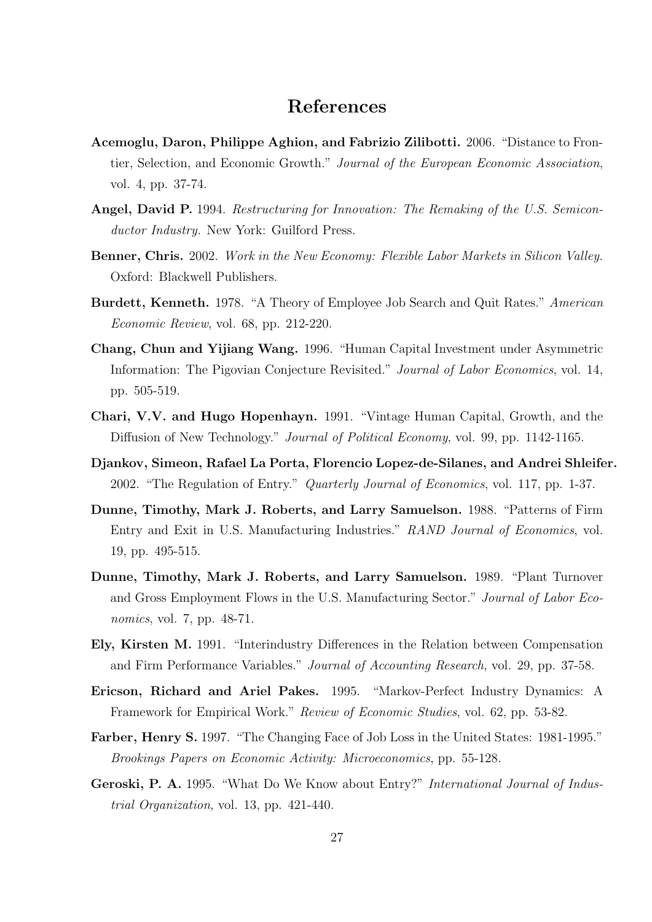## References

- Acemoglu, Daron, Philippe Aghion, and Fabrizio Zilibotti. 2006. "Distance to Frontier, Selection, and Economic Growth." Journal of the European Economic Association, vol. 4, pp. 37-74.
- Angel, David P. 1994. Restructuring for Innovation: The Remaking of the U.S. Semiconductor Industry. New York: Guilford Press.
- Benner, Chris. 2002. Work in the New Economy: Flexible Labor Markets in Silicon Valley. Oxford: Blackwell Publishers.
- Burdett, Kenneth. 1978. "A Theory of Employee Job Search and Quit Rates." American Economic Review, vol. 68, pp. 212-220.
- Chang, Chun and Yijiang Wang. 1996. "Human Capital Investment under Asymmetric Information: The Pigovian Conjecture Revisited." Journal of Labor Economics, vol. 14, pp. 505-519.
- Chari, V.V. and Hugo Hopenhayn. 1991. "Vintage Human Capital, Growth, and the Diffusion of New Technology." *Journal of Political Economy*, vol. 99, pp. 1142-1165.
- Djankov, Simeon, Rafael La Porta, Florencio Lopez-de-Silanes, and Andrei Shleifer. 2002. "The Regulation of Entry." *Quarterly Journal of Economics*, vol. 117, pp. 1-37.
- Dunne, Timothy, Mark J. Roberts, and Larry Samuelson. 1988. "Patterns of Firm Entry and Exit in U.S. Manufacturing Industries." RAND Journal of Economics, vol. 19, pp. 495-515.
- Dunne, Timothy, Mark J. Roberts, and Larry Samuelson. 1989. "Plant Turnover and Gross Employment Flows in the U.S. Manufacturing Sector." Journal of Labor Economics, vol. 7, pp. 48-71.
- Ely, Kirsten M. 1991. "Interindustry Differences in the Relation between Compensation and Firm Performance Variables." Journal of Accounting Research, vol. 29, pp. 37-58.
- Ericson, Richard and Ariel Pakes. 1995. "Markov-Perfect Industry Dynamics: A Framework for Empirical Work." Review of Economic Studies, vol. 62, pp. 53-82.
- Farber, Henry S. 1997. "The Changing Face of Job Loss in the United States: 1981-1995." Brookings Papers on Economic Activity: Microeconomics, pp. 55-128.
- Geroski, P. A. 1995. "What Do We Know about Entry?" International Journal of Industrial Organization, vol. 13, pp. 421-440.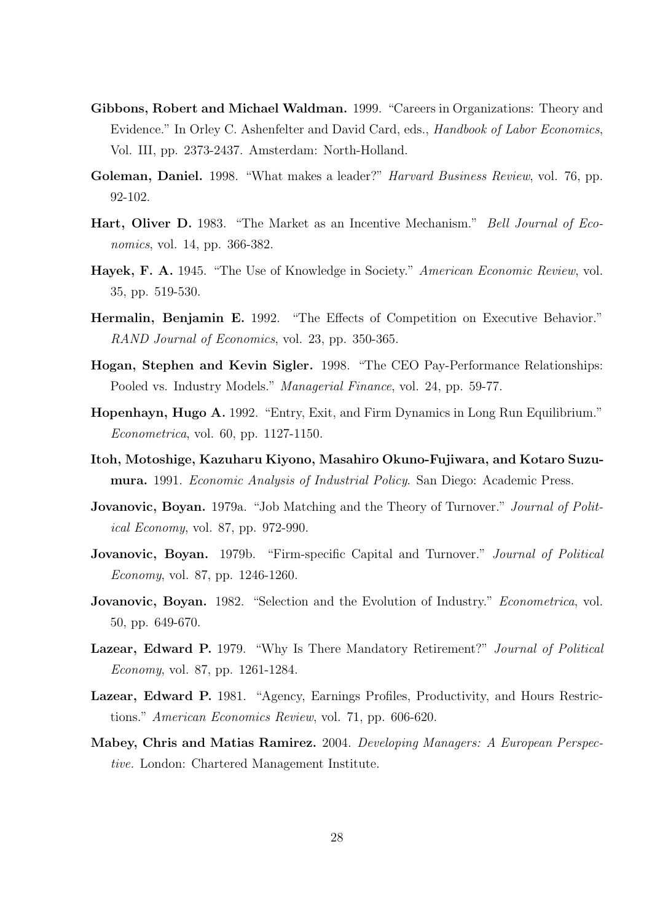- Gibbons, Robert and Michael Waldman. 1999. "Careers in Organizations: Theory and Evidence." In Orley C. Ashenfelter and David Card, eds., *Handbook of Labor Economics*, Vol. III, pp. 2373-2437. Amsterdam: North-Holland.
- Goleman, Daniel. 1998. "What makes a leader?" Harvard Business Review, vol. 76, pp. 92-102.
- Hart, Oliver D. 1983. "The Market as an Incentive Mechanism." Bell Journal of Economics, vol. 14, pp. 366-382.
- Hayek, F. A. 1945. "The Use of Knowledge in Society." American Economic Review, vol. 35, pp. 519-530.
- Hermalin, Benjamin E. 1992. "The Effects of Competition on Executive Behavior." RAND Journal of Economics, vol. 23, pp. 350-365.
- Hogan, Stephen and Kevin Sigler. 1998. "The CEO Pay-Performance Relationships: Pooled vs. Industry Models." *Managerial Finance*, vol. 24, pp. 59-77.
- Hopenhayn, Hugo A. 1992. "Entry, Exit, and Firm Dynamics in Long Run Equilibrium." Econometrica, vol. 60, pp. 1127-1150.
- Itoh, Motoshige, Kazuharu Kiyono, Masahiro Okuno-Fujiwara, and Kotaro Suzumura. 1991. Economic Analysis of Industrial Policy. San Diego: Academic Press.
- **Jovanovic, Boyan.** 1979a. "Job Matching and the Theory of Turnover." *Journal of Polit*ical Economy, vol. 87, pp. 972-990.
- **Jovanovic, Boyan.** 1979b. "Firm-specific Capital and Turnover." *Journal of Political* Economy, vol. 87, pp. 1246-1260.
- Jovanovic, Boyan. 1982. "Selection and the Evolution of Industry." Econometrica, vol. 50, pp. 649-670.
- Lazear, Edward P. 1979. "Why Is There Mandatory Retirement?" Journal of Political Economy, vol. 87, pp. 1261-1284.
- Lazear, Edward P. 1981. "Agency, Earnings Profiles, Productivity, and Hours Restrictions." American Economics Review, vol. 71, pp. 606-620.
- Mabey, Chris and Matias Ramirez. 2004. Developing Managers: A European Perspective. London: Chartered Management Institute.